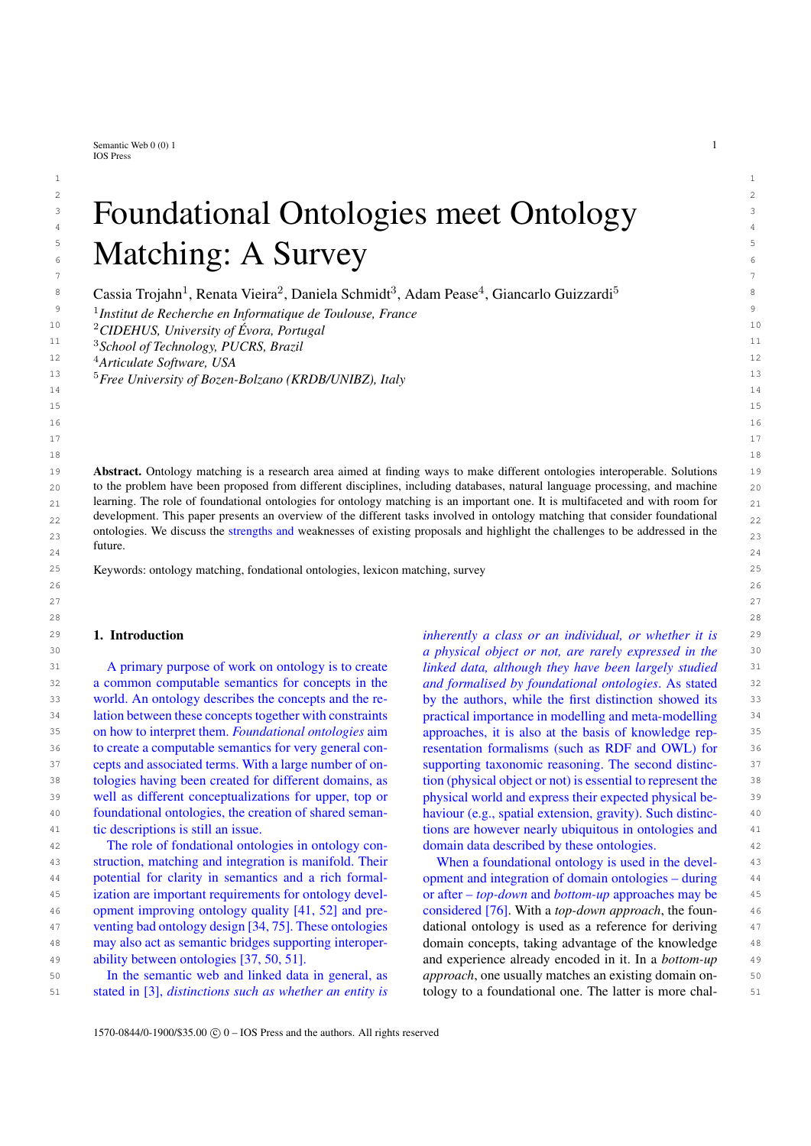Semantic Web  $0(0)$  1 1 IOS Press

# $2 \times 2$  $\frac{3}{3}$  - Houndational Chiologies meet Chiology  $\frac{3}{3}$ <sup>3</sup> Foundational Ontologies meet Ontology  $5 \t M + 1$   $A \t N$ **Example 3 6 Matching: A Survey**  $\overline{7}$

 $1$ 

<sup>8</sup> Cassia Trojahn<sup>1</sup>, Renata Vieira<sup>2</sup>, Daniela Schmidt<sup>3</sup>, Adam Pease<sup>4</sup>, Giancarlo Guizzardi<sup>5</sup>

9 9 1 *Institut de Recherche en Informatique de Toulouse, France*

<sup>11</sup> <sup>3</sup>School of Technology, PUCRS, Brazil<sup> $11$ </sup>

19 **Abstract.** Ontology matching is a research area aimed at finding ways to make different ontologies interoperable. Solutions 19 20 20 to the problem have been proposed from different disciplines, including databases, natural language processing, and machine  $_{21}$  learning. The role of foundational ontologies for ontology matching is an important one. It is multifaceted and with room for  $_{21}$  $_{22}$  development. This paper presents an overview of the different tasks involved in ontology matching that consider foundational  $_{22}$ ontologies. We discuss the strengths and weaknesses of existing proposals and highlight the challenges to be addressed in the  $_{23}$  $24$  24 future.

 $26$ 27 сер*ата на 12* марта 12 марта 22 марта 22 марта 22 марта 22 марта 22 марта 22 марта 22 марта 22 марта 22 марта 22 28 28

15 15  $16$ 17 17 18 18

25 25 Keywords: ontology matching, fondational ontologies, lexicon matching, survey

# 1. Introduction

31 31 *linked data, although they have been largely studied* 32 a common computable semantics for concepts in the and formalised by foundational ontologies. As stated 32 33 world. An ontology describes the concepts and the re-<br>by the authors, while the first distinction showed its 33 34 34 lation between these concepts together with constraints 35 35 on how to interpret them. *Foundational ontologies* aim 36 to create a computable semantics for very general con-<br>sesentation formalisms (such as RDF and OWL) for 36 37 cepts and associated terms. With a large number of on-<br>supporting taxonomic reasoning. The second distinc-<br>37 38 tologies having been created for different domains, as tion (physical object or not) is essential to represent the <sup>38</sup> 39 well as different conceptualizations for upper, top or physical world and express their expected physical be-40 **foundational ontologies, the creation of shared seman-** haviour (e.g., spatial extension, gravity). Such distinc-41 tic descriptions is still an issue. The area is the time state of the state of the state of the state of the state of the state of the state of the state of the state of the state of the state of the state of the state A primary purpose of work on ontology is to create world. An ontology describes the concepts and the reto create a computable semantics for very general contic descriptions is still an issue.

42 42 The role of fondational ontologies in ontology con-43 43 struction, matching and integration is manifold. Their 44 44 potential for clarity in semantics and a rich formal-45 ization are important requirements for ontology devel- or after – *top-down* and *bottom-up* approaches may be 46 opment improving ontology quality [\[41,](#page-14-0) [52\]](#page-15-0) and pre-<br>and pre-<br>considered [76]. With a *top-down approach*, the foun-47 venting bad ontology design [34, 75]. These ontologies dational ontology is used as a reference for deriving 47 48 may also act as semantic bridges supporting interoper- domain concepts, taking advantage of the knowledge 48 49 ability between ontologies [37, 50, 51]. and experience already encoded in it. In a *bottom-up* 49 venting bad ontology design [\[34,](#page-14-1) [75\]](#page-15-1). These ontologies may also act as semantic bridges supporting interoperability between ontologies [\[37,](#page-14-2) [50,](#page-15-2) [51\]](#page-15-3).

51 stated in [3], *distinctions such as whether an entity is* tology to a foundational one. The latter is more chal-In the semantic web and linked data in general, as stated in [\[3\]](#page-13-0), *distinctions such as whether an entity is*

29 29 *inherently a class or an individual, or whether it is* 30 30 *a physical object or not, are rarely expressed in the and formalised by foundational ontologies*. As stated practical importance in modelling and meta-modelling approaches, it is also at the basis of knowledge repsupporting taxonomic reasoning. The second distinction (physical object or not) is essential to represent the physical world and express their expected physical behaviour (e.g., spatial extension, gravity). Such distincdomain data described by these ontologies.

50 **In the semantic web and linked data in general, as** *approach*, one usually matches an existing domain on-When a foundational ontology is used in the development and integration of domain ontologies – during or after – *top-down* and *bottom-up* approaches may be considered [\[76\]](#page-15-4). With a *top-down approach*, the foun-

<sup>10</sup> 10 <sup>2</sup>*CIDEHUS, University of Évora, Portugal*

<sup>12</sup> 12 <sup>4</sup>*Articulate Software, USA*

<sup>13</sup> 13 <sup>5</sup>*Free University of Bozen-Bolzano (KRDB/UNIBZ), Italy*  $14$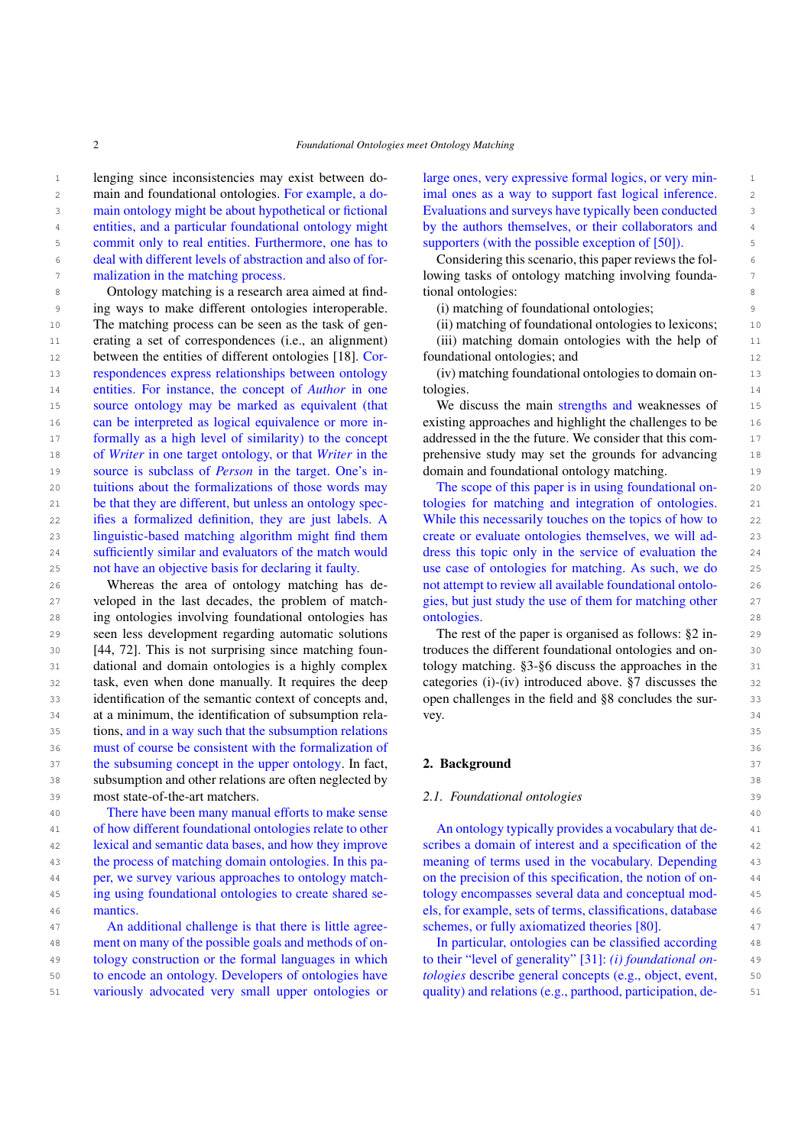1 lenging since inconsistencies may exist between do- large ones, very expressive formal logics, or very min-2 main and foundational ontologies. For example, a do-<br>2 imal ones as a way to support fast logical inference. 3 3 main ontology might be about hypothetical or fictional <sup>4</sup> entities, and a particular foundational ontology might by the authors themselves, or their collaborators and <sup>4</sup> 5 5 commit only to real entities. Furthermore, one has to 6 6 deal with different levels of abstraction and also of for-7 11 malization in the matching process. The lowing tasks of ontology matching involving foundamalization in the matching process.

8 8 8 0 Ontology matching is a research area aimed at find-<br>8 8 19 November 2014 9 9 ing ways to make different ontologies interoperable. 10 The matching process can be seen as the task of gen- (ii) matching of foundational ontologies to lexicons; 10 11 erating a set of correspondences (i.e., an alignment) (iii) matching domain ontologies with the help of 11 12 between the entities of different ontologies [\[18\]](#page-14-3). Cor- foundational ontologies; and 12 13 13 respondences express relationships between ontology 14 **14** entities. For instance, the concept of *Author* in one tologies. 14 15 source ontology may be marked as equivalent (that We discuss the main strengths and weaknesses of 15 16 can be interpreted as logical equivalence or more in-<br>existing approaches and highlight the challenges to be <sup>17</sup> formally as a high level of similarity) to the concept addressed in the future. We consider that this com-18 18 of *Writer* in one target ontology, or that *Writer* in the 19 19 source is subclass of *Person* in the target. One's in-20 20 tuitions about the formalizations of those words may 21 be that they are different, but unless an ontology spec-<br>tologies for matching and integration of ontologies. 21 22 ifies a formalized definition, they are just labels. A While this necessarily touches on the topics of how to 22 23 linguistic-based matching algorithm might find them create or evaluate ontologies themselves, we will ad-<br>23 24 sufficiently similar and evaluators of the match would dress this topic only in the service of evaluation the 24 25 not have an objective basis for declaring it faulty. use case of ontologies for matching. As such, we do 25 can be interpreted as logical equivalence or more innot have an objective basis for declaring it faulty.

26 Whereas the area of ontology matching has de- not attempt to review all available foundational ontolo- 26 27 veloped in the last decades, the problem of match- gies, but just study the use of them for matching other 27 28 28 ing ontologies involving foundational ontologies has 29 seen less development regarding automatic solutions The rest of the paper is organised as follows: §2 in-<br>29 30 [\[44,](#page-15-5) [72\]](#page-15-6). This is not surprising since matching foun-<br>30  $\frac{1}{4}$  troduces the different foundational ontologies and on-31 dational and domain ontologies is a highly complex tology matching. §3-§6 discuss the approaches in the 31 32 32 task, even when done manually. It requires the deep 33 identification of the semantic context of concepts and, open challenges in the field and §8 concludes the sur-34 34 at a minimum, the identification of subsumption rela-35 35 tions, and in a way such that the subsumption relations 36 36 must of course be consistent with the formalization of 37 the subsuming concept in the upper ontology. In fact, **2. Background** 37 38 38 subsumption and other relations are often neglected by 39 most state-of-the-art matchers. 2.1. Foundational ontologies 39 Whereas the area of ontology matching has developed in the last decades, the problem of match-

40 40 There have been many manual efforts to make sense 41 41 of how different foundational ontologies relate to other 42 42 lexical and semantic data bases, and how they improve 43 the process of matching domain ontologies. In this pa- meaning of terms used in the vocabulary. Depending 43 44 44 on the precision of this specification, the notion of on-45 45 ing using foundational ontologies to create shared se-46 46 els, for example, sets of terms, classifications, database the process of matching domain ontologies. In this paper, we survey various approaches to ontology matchmantics.

47 An additional challenge is that there is little agree-<br>47  $\frac{1}{2}$  schemes, or fully axiomatized theories [80]. 48 48 ment on many of the possible goals and methods of on-49 tology construction or the formal languages in which to their "level of generality" [31]: *(i) foundational on*-50 to encode an ontology. Developers of ontologies have tologies describe general concepts (e.g., object, event, 50 51 variously advocated very small upper ontologies or quality) and relations (e.g., parthood, participation, de-<br>51

large ones, very expressive formal logics, or very minimal ones as a way to support fast logical inference. Evaluations and surveys have typically been conducted by the authors themselves, or their collaborators and supporters (with the possible exception of [\[50\]](#page-15-2)).

Considering this scenario, this paper reviews the foltional ontologies:

(i) matching of foundational ontologies;

(ii) matching of foundational ontologies to lexicons;

(iii) matching domain ontologies with the help of foundational ontologies; and

(iv) matching foundational ontologies to domain ontologies.

We discuss the main strengths and weaknesses of addressed in the the future. We consider that this comprehensive study may set the grounds for advancing domain and foundational ontology matching.

The scope of this paper is in using foundational ontologies for matching and integration of ontologies. While this necessarily touches on the topics of how to create or evaluate ontologies themselves, we will address this topic only in the service of evaluation the ontologies.

The rest of the paper is organised as follows: [§2](#page-1-0) introduces the different foundational ontologies and ontology matching. [§3-](#page-5-0)[§6](#page-8-0) discuss the approaches in the categories (i)-(iv) introduced above. [§7](#page-11-0) discusses the open challenges in the field and [§8](#page-13-1) concludes the survey.

## <span id="page-1-0"></span>2. Background

# *2.1. Foundational ontologies*

An ontology typically provides a vocabulary that describes a domain of interest and a specification of the tology encompasses several data and conceptual modschemes, or fully axiomatized theories [\[80\]](#page-16-0).

In particular, ontologies can be classified according to their "level of generality" [\[31\]](#page-14-4): *(i) foundational ontologies* describe general concepts (e.g., object, event, quality) and relations (e.g., parthood, participation, de-

<sup>2</sup> *Foundational Ontologies meet Ontology Matching*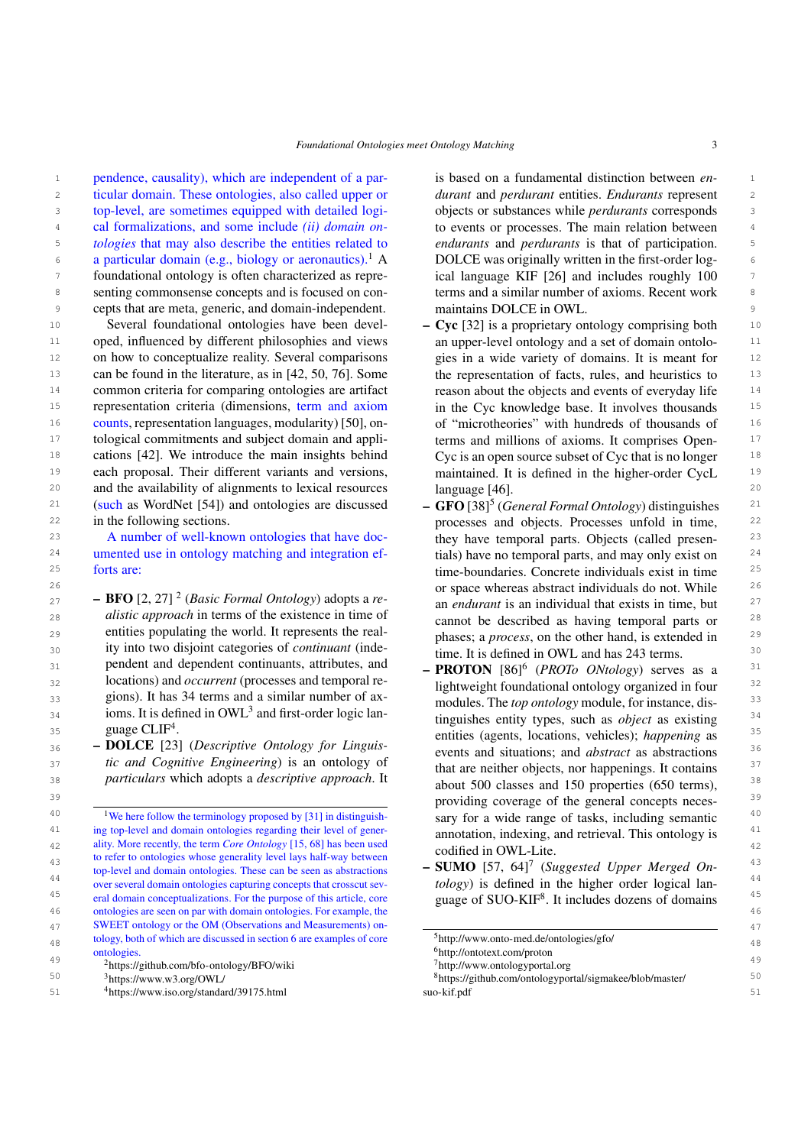1 1 1 1 pendence, causality), which are independent of a par- is based on a fundamental distinction between  $en-1$ 2 2 ticular domain. These ontologies, also called upper or 3 top-level, are sometimes equipped with detailed logi- objects or substances while *perdurants* corresponds <sup>4</sup> cal formalizations, and some include *(ii) domain on*- to events or processes. The main relation between <sup>4</sup> <sup>5</sup> *tologies* that may also describe the entities related to *endurants* and *perdurants* is that of participation. 6 a particular domain (e.g., biology or aeronautics).<sup>[1](#page-2-0)</sup> A DOLCE was originally written in the first-order log-<sup>7</sup> foundational ontology is often characterized as repre- ical language KIF [26] and includes roughly 100 <sup>7</sup> 8 8 senting commonsense concepts and is focused on con-9 9 cepts that are meta, generic, and domain-independent.

10 Several foundational ontologies have been devel-  $\sim$  Cyc [\[32\]](#page-14-10) is a proprietary ontology comprising both 10 <sup>11</sup> oped, influenced by different philosophies and views an upper-level ontology and a set of domain ontolo-<sup>11</sup> <sup>12</sup> on how to conceptualize reality. Several comparisons gies in a wide variety of domains. It is meant for <sup>12</sup> 13 13 can be found in the literature, as in [\[42,](#page-14-5) [50,](#page-15-2) [76\]](#page-15-4). Some <sup>14</sup> common criteria for comparing ontologies are artifact reason about the objects and events of everyday life <sup>14</sup> <sup>15</sup> representation criteria (dimensions, term and axiom in the Cyc knowledge base. It involves thousands <sup>15</sup> <sup>16</sup> counts, representation languages, modularity) [\[50\]](#page-15-2), on- of "microtheories" with hundreds of thousands of <sup>16</sup> <sup>17</sup> tological commitments and subject domain and appli-<br><sup>17</sup> terms and millions of axioms. It comprises Open-<sup>18</sup> cations [\[42\]](#page-14-5). We introduce the main insights behind Cyc is an open source subset of Cyc that is no longer <sup>18</sup> <sup>19</sup> each proposal. Their different variants and versions, maintained. It is defined in the higher-order CycL <sup>19</sup> 20 and the availability of alignments to lexical resources language [46]. 20 <sup>21</sup> (such as WordNet [[5](#page-2-4)4]) and ontologies are discussed  $-$  GFO [\[38\]](#page-14-11)<sup>5</sup> (*General Formal Ontology*) distinguishes <sup>21</sup> 22 in the following sections. The processes and objects. Processes unfold in time, <sup>22</sup> Several foundational ontologies have been devel-(such as WordNet [\[54\]](#page-15-7)) and ontologies are discussed in the following sections.

<sup>24</sup> umented use in ontology matching and integration ef-<br>
ials) have no temporal parts, and may only exist on <sup>24</sup> forts are:

 $27$  $27$  **– BFO** [\[2,](#page-13-2) [27\]](#page-14-6) <sup>2</sup> (*Basic Formal Ontology*) adopts a *re-*<br>an endurant is an individual that exists in time but 28 austic approach in terms of the existence in time of cannot be described as having temporal parts or <sup>28</sup> 29 29 phases; a *process*, on the other hand, is extended in 30 30 ity into two disjoint categories of *continuant* (inde- $_{31}$  pendent and dependent continuants, attributes, and  $-$  **PROTON** [\[86\]](#page-16-1)<sup>[6](#page-2-5)</sup> (*PROTo ONtology*) serves as a <sup>31</sup> <sup>32</sup> 10 Iocations) and *occurrent* (processes and temporal re-<br>lightweight foundational ontology organized in four<sup>32</sup> 33 33 gions). It has 34 terms and a similar number of ax- $_{34}$  $_{34}$  $_{34}$  ioms. It is defined in OWL<sup>3</sup> and first-order logic lan-<br> $_{\text{impulishes entity types, such as object as a given function}$ *alistic approach* in terms of the existence in time of entities populating the world. It represents the realpendent and dependent continuants, attributes, and locations) and *occurrent* (processes and temporal re-guage CLIF<sup>[4](#page-2-3)</sup>.

36 36 – DOLCE [\[23\]](#page-14-7) (*Descriptive Ontology for Linguis-*<sup>37</sup> *ic and Cognitive Engineering*) is an ontology of that are neither chiects nor happenings. It contains <sup>37</sup>

<span id="page-2-0"></span>41 ing top-level and domain ontologies regarding their level of gener-<br>annotation indexing and retrieval. This ontology is 42 ality. More recently, the term *Core Ontology* [\[15,](#page-14-8) [68\]](#page-15-8) has been used and the original contract the core of the core of the core of the core of the core of the core of the core of the core of the core of the core of the 43 43 – SUMO [\[57,](#page-15-10) [64\]](#page-15-11)[7](#page-2-6) (*Suggested Upper Merged On-*<sup>44</sup> over several domain ontologies capturing concepts that crosscut sev-<br> *tology*) is defined in the higher order logical lan-<sup>45</sup> eral domain conceptualizations. For the purpose of this article, core **guage of SUO-KIF<sup>8</sup>. It includes dozens of domains** 46 46 ontologies are seen on par with domain ontologies. For example, the 47 47 SWEET ontology or the OM (Observations and Measurements) on-48 tology, both of which are discussed in section [6](#page-8-0) are examples of core <sup>5</sup>http://www.onto-med.de/ontologies/gfo/ <sup>49</sup><br><sup>49</sup> <sup>2</sup><https://github.com/bfo-ontology/BFO/wiki><sup>7</sup>http://www.ontologyportal.org<sup>2</sup> to refer to ontologies whose generality level lays half-way between top-level and domain ontologies. These can be seen as abstractions over several domain ontologies capturing concepts that crosscut sevontologies.

<span id="page-2-3"></span><span id="page-2-2"></span><span id="page-2-1"></span>

<sup>3</sup>https://www.w3.org/OWL/

is based on a fundamental distinction between *endurant* and *perdurant* entities. *Endurants* represent objects or substances while *perdurants* corresponds to events or processes. The main relation between *endurants* and *perdurants* is that of participation. DOLCE was originally written in the first-order logical language KIF [\[26\]](#page-14-9) and includes roughly 100 terms and a similar number of axioms. Recent work maintains DOLCE in OWL.

- an upper-level ontology and a set of domain ontologies in a wide variety of domains. It is meant for the representation of facts, rules, and heuristics to reason about the objects and events of everyday life in the Cyc knowledge base. It involves thousands of "microtheories" with hundreds of thousands of terms and millions of axioms. It comprises Open-Cyc is an open source subset of Cyc that is no longer maintained. It is defined in the higher-order CycL language [\[46\]](#page-15-9).
- 23 A number of well-known ontologies that have doc-<br>
23 A number of well-known ontologies that have doc-<br>
23 25 25 time-boundaries. Concrete individuals exist in time 26 26 or space whereas abstract individuals do not. While they have temporal parts. Objects (called presentials) have no temporal parts, and may only exist on an *endurant* is an individual that exists in time, but time. It is defined in OWL and has 243 terms.
- 35 35 entities (agents, locations, vehicles); *happening* as 38 38 *particulars* which adopts a *descriptive approach*. It 39 39 providing coverage of the general concepts neces-<sup>40</sup> <sup>40</sup> <sup>1</sup> We here follow the terminology proposed by [\[31\]](#page-14-4) in distinguish- **Sary for a wide range of tasks, including semantic** modules. The *top ontology* module, for instance, distinguishes entity types, such as *object* as existing events and situations; and *abstract* as abstractions that are neither objects, nor happenings. It contains about 500 classes and 150 properties (650 terms), sary for a wide range of tasks, including semantic annotation, indexing, and retrieval. This ontology is codified in OWL-Lite.
	- guage of SUO-KIF[8](#page-2-7) . It includes dozens of domains

<span id="page-2-4"></span><sup>5</sup><http://www.onto-med.de/ontologies/gfo/>

<span id="page-2-5"></span><sup>6</sup><http://ontotext.com/proton>

<span id="page-2-7"></span><span id="page-2-6"></span><sup>7</sup><http://www.ontologyportal.org>

<sup>50</sup> 50 <sup>8</sup>[https://github.com/ontologyportal/sigmakee/blob/master/](https://github.com/ontologyportal/sigmakee/blob/master/suo-kif.pdf) 51 51 <sup>4</sup><https://www.iso.org/standard/39175.html> [suo-kif.pdf](https://github.com/ontologyportal/sigmakee/blob/master/suo-kif.pdf)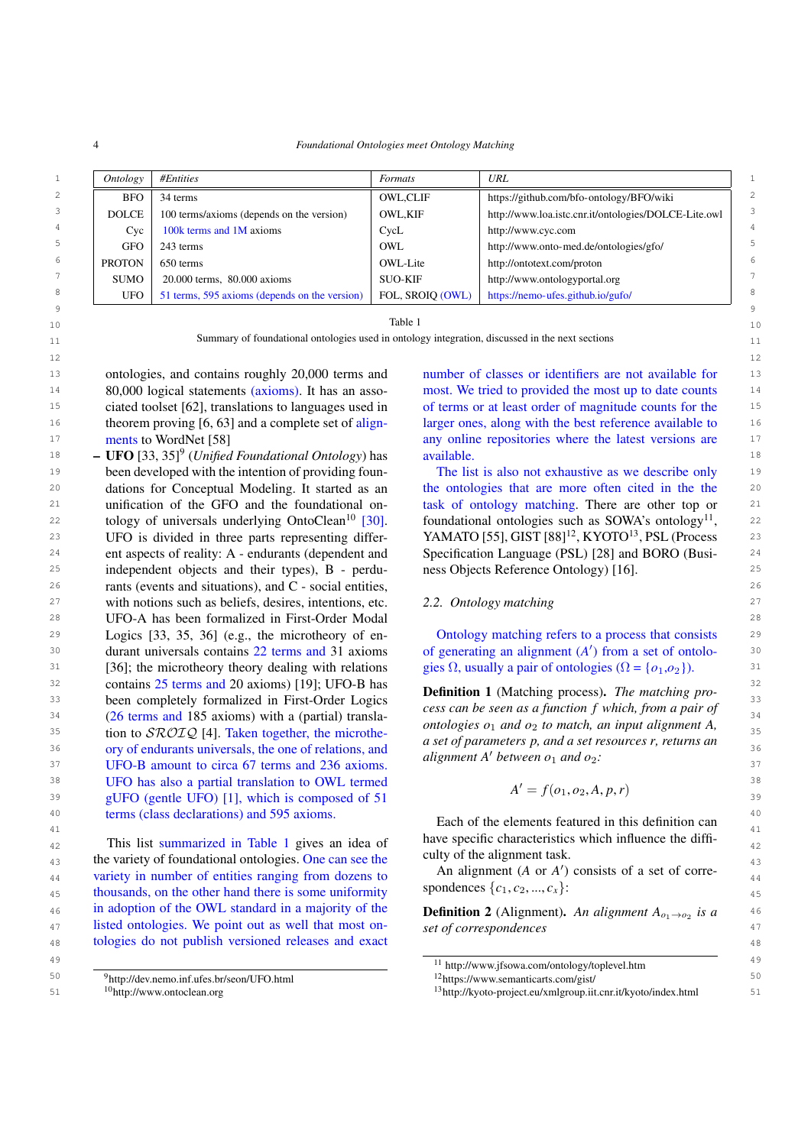<span id="page-3-2"></span>4 *Foundational Ontologies meet Ontology Matching*

|                | Ontology      | #Entities                                     | Formats          | URL                                                  |  |
|----------------|---------------|-----------------------------------------------|------------------|------------------------------------------------------|--|
| $\overline{c}$ | <b>BFO</b>    | 34 terms                                      | <b>OWL,CLIF</b>  | https://github.com/bfo-ontology/BFO/wiki             |  |
| 3              | <b>DOLCE</b>  | 100 terms/axioms (depends on the version)     | <b>OWL.KIF</b>   | http://www.loa.istc.cnr.it/ontologies/DOLCE-Lite.owl |  |
| 4              | Cyc           | 100k terms and 1M axioms                      | CycL             | http://www.cyc.com                                   |  |
| 5              | <b>GFO</b>    | 243 terms                                     | OWL.             | http://www.onto-med.de/ontologies/gfo/               |  |
| 6              | <b>PROTON</b> | 650 terms                                     | OWL-Lite         | http://ontotext.com/proton                           |  |
|                | <b>SUMO</b>   | 20.000 terms, 80.000 axioms                   | <b>SUO-KIF</b>   | http://www.ontologyportal.org                        |  |
| 8              | <b>UFO</b>    | 51 terms, 595 axioms (depends on the version) | FOL, SROIO (OWL) | https://nemo-ufes.github.io/gufo/                    |  |
|                |               |                                               |                  |                                                      |  |

 $10$  10  $10$ Table 1

11 11 **11 Summary of foundational ontologies used in ontology integration, discussed in the next sections 11** 

13 ontologies, and contains roughly 20,000 terms and number of classes or identifiers are not available for 13 14 80,000 logical statements (axioms). It has an asso-<br>most. We tried to provided the most up to date counts 14 15 15 of terms or at least order of magnitude counts for the 16 16 larger ones, along with the best reference available to <sup>17</sup> 17 **17 neuts to WordNet [58] any online repositories where the latest versions are** <sup>17</sup> ontologies, and contains roughly 20,000 terms and 80,000 logical statements (axioms). It has an associated toolset [\[62\]](#page-15-12), translations to languages used in theorem proving [\[6,](#page-13-3) [63\]](#page-15-13) and a complete set of alignments to WordNet [\[58\]](#page-15-14)

 $18$  **– UFO** [\[33,](#page-14-12) [35\]](#page-14-13)<sup>[9](#page-3-0)</sup> (*Unified Foundational Ontology*) has available. <sup>19</sup> been developed with the intention of providing foun-<br><sup>19</sup> The list is also not exhaustive as we describe only 20 dations for Conceptual Modeling. It started as an the ontologies that are more often cited in the the 20 21 unification of the GFO and the foundational on-<br>
task of ontology matching. There are other top or  $21$ z2 tology of universals underlying OntoClean<sup>10</sup> [30]. foundational ontologies such as SOWA's ontology<sup>[11](#page-3-3)</sup>, 22 <sup>23</sup> UFO is divided in three parts representing differ-<br><sup>23</sup> VAMATO [\[55\]](#page-15-15), GIST [\[88\]](#page-16-2)<sup>[12](#page-3-4)</sup>, KYOTO<sup>[13](#page-3-5)</sup>, PSL (Process<sup>23</sup> 24 24 Specification Language (PSL) [\[28\]](#page-14-17) and BORO (Busi-<sup>25</sup> independent objects and their types), B - perdu-<br><sup>25</sup> independent objects and their types), B - perdu-26 26 rants (events and situations), and C - social entities, <sup>27</sup> with notions such as beliefs, desires, intentions, etc.  $2.2$ . *Ontology matching*  $27$ 28 28 UFO-A has been formalized in First-Order Modal 29 29 Logics [\[33,](#page-14-12) [35,](#page-14-13) [36\]](#page-14-15) (e.g., the microtheory of en-30 durant universals contains 22 terms and 31 axioms of generating an alignment (*A'*) from a set of ontolo-<sup>30</sup> <sup>31</sup> [\[36\]](#page-14-15); the microtheory theory dealing with relations gies  $\Omega$ , usually a pair of ontologies  $(\Omega = \{o_1, o_2\})$ .  $32$  contains 25 terms and 20 axioms) [\[19\]](#page-14-16); UFO-B has  $R_{\text{eff}}$  and  $R_{\text{eff}}$  are  $R_{\text{eff}}$  and  $R_{\text{eff}}$  are  $R_{\text{eff}}$  and  $R_{\text{eff}}$  are  $R_{\text{eff}}$  and  $R_{\text{eff}}$  are  $R_{\text{eff}}$  and  $R_{\text{eff}}$  are  $R_{\text{eff}}$  and  $R_{\text{eff}}$  are <sup>33</sup> been completely formalized in First-Order Logics **begins the complete of the complete** the second of the second of the second of the second of the second of the second of the second of the second of the second of the 34 34 (26 terms and 185 axioms) with a (partial) transla-35  $\frac{35}{2}$  tion to  $\frac{SROIQ}{2}$  [\[4\]](#page-13-4). Taken together, the microthe-<br>35  $\frac{1}{2}$  and  $\frac{1}{2}$  and  $\frac{1}{2}$  and  $\frac{1}{2}$  and  $\frac{1}{2}$  and  $\frac{1}{2}$  and  $\frac{1}{2}$  and  $\frac{1}{2}$  and  $\frac{1}{2}$  and  $\frac{1}{2}$  and  $\frac{1}{2}$  $\frac{36}{2}$  ory of endurants universals, the one of relations, and  $\frac{36}{2}$  is and  $\frac{36}{2}$  and  $\frac{36}{2}$  $37 \text{ UFO-B}$  amount to circa 67 terms and 236 axioms.  $37 \text{ W.E.}$  substituting the sense of and  $236 \text{ X}$ <sup>38</sup> UFO has also a partial translation to OWL termed  $A' = f(a, a, A, r, r)$  $39$  gUFO (gentle UFO) [\[1\]](#page-13-5), which is composed of 51  $A = f(c_1, c_2, A, p, r)$   $39$ <sup>40</sup> terms (class declarations) and 595 axioms.  $\frac{10}{2}$  Eech of the elements featured in this definition can dations for Conceptual Modeling. It started as an unification of the GFO and the foundational on-tology of universals underlying OntoClean<sup>[10](#page-3-1)</sup> [\[30\]](#page-14-14). UFO is divided in three parts representing different aspects of reality: A - endurants (dependent and durant universals contains 22 terms and 31 axioms

 $_{42}$  This list summarized in Table [1](#page-3-2) gives an idea of the specific characteristics which influence the different  $_{42}$ <sup>43</sup> the variety of foundational ontologies. One can see the curry of the angument task. 44 variety in number of entities ranging from dozens to An angument (A or A ) consists of a set of corre-45 thousands, on the other hand there is some uniformity spondences  $\{c_1, c_2, ..., c_x\}$ : 46 **10** adoption of the OWL standard in a majority of the **Definition 2** (Alignment). An alignment  $A_{o_1\rightarrow o_2}$  is a 47 listed ontologies. We point out as well that most on-<br>47 distribution of the state of correspondences 48 48 tologies do not publish versioned releases and exact in adoption of the OWL standard in a majority of the

50 50 <sup>9</sup><http://dev.nemo.inf.ufes.br/seon/UFO.html>

<span id="page-3-1"></span><span id="page-3-0"></span><sup>10</sup><http://www.ontoclean.org>

available.

The list is also not exhaustive as we describe only ness Objects Reference Ontology) [\[16\]](#page-14-18).

# *2.2. Ontology matching*

Ontology matching refers to a process that consists gies  $\Omega$ , usually a pair of ontologies ( $\Omega = \{o_1, o_2\}$ ).

Definition 1 (Matching process). *The matching process can be seen as a function f which, from a pair of ontologies*  $o_1$  *and*  $o_2$  *to match, an input alignment A*, *a set of parameters p, and a set resources r, returns an alignment*  $A'$  *between*  $o_1$  *and*  $o_2$ *:* 

$$
A' = f(o_1, o_2, A, p, r)
$$

<sup>41</sup><br><sup>41</sup> This list summarized in Table 1 gives an idea of have specific characteristics which influence the diffi-Each of the elements featured in this definition can culty of the alignment task.

> An alignment  $(A \text{ or } A')$  consists of a set of correspondences  $\{c_1, c_2, ..., c_x\}$ :

> *set of correspondences*

<sup>49</sup> 49 <sup>11</sup> http://www.jfsowa.com/ontology/toplevel.htm

<span id="page-3-5"></span><span id="page-3-4"></span><span id="page-3-3"></span><sup>12</sup><https://www.semanticarts.com/gist/>

<sup>51</sup> 51 <sup>13</sup>http://kyoto-project.eu/xmlgroup.iit.cnr.it/kyoto/index.html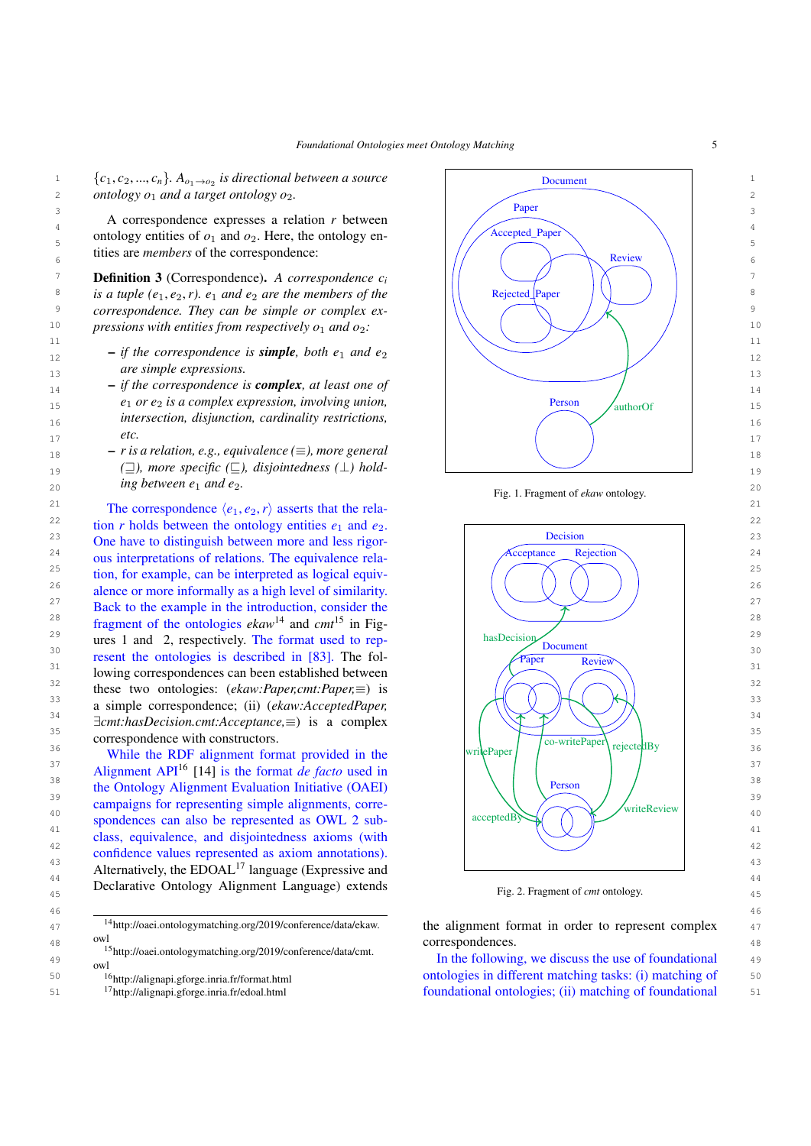46 46

4 11 Correspondence expresses a relation r ecurem and relation of the correspondence of the correspondence of the correspondence of the correspondence of the correspondence of the correspondence of the correspondence of th ontology entities of  $o_1$  and  $o_2$ . Here, the ontology en-<br>5 tities are *members* of the correspondence:

7 7 Definition 3 (Correspondence). *A correspondence c<sup>i</sup>* 8 *is a tuple (e<sub>1</sub>, e<sub>2</sub>, r). e<sub>1</sub>* and *e<sub>2</sub>* are the members of the Rejected Paper (eq. 1) 9 9 *correspondence. They can be simple or complex ex-*

- $\frac{12}{12}$   $\qquad$   $\qquad$  *if the correspondence is simple, both*  $e_1$  and  $e_2$ *are simple expressions.*
- 15 15 *e*<sup>1</sup> *or e*<sup>2</sup> *is a complex expression, involving union,* 16 16 *intersection, disjunction, cardinality restrictions, etc.*
- $18$   $-$  *r* is a relation, e.g., equivalence ( $\equiv$ ), more general  $\left(\begin{array}{cc} 1 & 1 \\ 1 & 1 \end{array}\right)$  $\frac{19}{19}$  ( $\equiv$ ), more specific ( $\equiv$ ), disjointedness ( $\perp$ ) hold- $20$  and  $20$  and  $20$  and  $20$  and  $20$  and  $20$  and  $20$  and  $20$  and  $20$  and  $20$  and  $20$  and  $20$ *ing between*  $e_1$  *and*  $e_2$ *.*

21 21 The correspondence <sup>h</sup>*e*<sup>1</sup>, *<sup>e</sup>*<sup>2</sup>,*r*<sup>i</sup> asserts that the rela- $2^{22}$  tion *r* holds between the ontology entities  $e_1$  and  $e_2$ . <sup>23</sup> One have to distinguish between more and less rigor-<br><sup>23</sup> <sup>24</sup> ous interpretations of relations. The equivalence rela-<br><sup>24</sup> OUS interpretations of relations. The equivalence rela-<sup>25</sup> tion, for example, can be interpreted as logical equiv-<br>  $\left( \left( \begin{array}{cc} \nearrow \end{array} \right) \left( \begin{array}{cc} \nearrow \end{array} \right) \right)$ <sup>26</sup> alence or more informally as a high level of similarity. <sup>27</sup> Back to the example in the introduction, consider the  $\frac{27}{5}$ <sup>28</sup> fragment of the ontologies *ekaw*<sup>[14](#page-4-0)</sup> and *cmt*<sup>[15](#page-4-1)</sup> in Fig-<sup>29</sup> ures [1](#page-4-2) and [2,](#page-4-3) respectively. The format used to rep-<br><sup>29</sup> hasDecision Document  $\frac{30}{\text{Percent}}$  resent the ontologies is described in [\[83\]](#page-16-3). The fol- $31$  lowing correspondences can been established between  $31$ these two ontologies: (*ekaw:Paper,cmt:Paper*,≡) is  $\left(\left(\bigwedge_{i=1}^{\infty} \left(\left(\bigwedge_{i=1}^{n} \right)\right)\right)^{3/2}\right)$ <sup>33</sup> a simple correspondence; (ii) (*ekaw:AcceptedPaper*,  $\exists$ <sup>34</sup>  $\exists$ *cmt:hasDecision.cmt:Acceptance*,≡) is a complex  $\left( \begin{array}{cc} \sqrt{2} & \sqrt{2} \\ \sqrt{2} & \sqrt{2} \end{array} \right)$ 35 correspondence with constructors.

 $\frac{37}{2}$  Alignment API<sup>[16](#page-4-4)</sup> [\[14\]](#page-14-19) is the format *de facto* used in  $\left[\begin{array}{c|c} \end{array}\right]$   $\left[\begin{array}{c|c} \end{array}\right]$   $\left[\begin{array}{c|c} \end{array}\right]$  $\frac{38}{28}$  the Ontology Alignment Evaluation Initiative (OAEI)  $\sqrt{$  Person  $\sqrt{}$  $\frac{39}{2}$  campaigns for representing simple alignments, corre-40 spondences can also be represented as OWL 2 sub-<br>
accepted B <sup>41</sup> class, equivalence, and disjointedness axioms (with 42<br>
confidence values represented as axiom annotations). Alternatively, the EDOAL<sup>[17](#page-4-5)</sup> language (Expressive and and alternatively, the EDOAL<sup>17</sup> language (Expressive and and alternatively, the EDOAL<sup>17</sup> language (Expressive and and alternatively, the EDOAL<sup>17</sup> language (Expressiv <sup>44</sup><br>Declarative Ontology Alignment Language) extends Fig. 2 Fragment of cmt ontology 45 45 Fig. 2. Fragment of *cmt* ontology.

<span id="page-4-1"></span><span id="page-4-0"></span><sup>14</sup>[http://oaei.ontologymatching.org/2019/conference/data/ekaw.](http://oaei.ontologymatching.org/2019/conference/data/ekaw.owl) [owl](http://oaei.ontologymatching.org/2019/conference/data/ekaw.owl)

48 UWI<br><sup>48</sup> <sup>15</sup>[http://oaei.ontologymatching.org/2019/conference/data/cmt.](http://oaei.ontologymatching.org/2019/conference/data/cmt.owl) **15** The following we discuss the use of foundational <sup>49</sup> <sup>the</sup> interviolent of our discuss the use of foundational <sup>49</sup> [owl](http://oaei.ontologymatching.org/2019/conference/data/cmt.owl)

- <span id="page-4-4"></span><sup>16</sup><http://alignapi.gforge.inria.fr/format.html>
- <span id="page-4-5"></span><sup>17</sup><http://alignapi.gforge.inria.fr/edoal.html>



<span id="page-4-3"></span><span id="page-4-2"></span>



<sup>47</sup><sup>14</sup>http://oaei.ontologymatching.org/2019/conference/data/ekaw. the alignment format in order to represent complex <sup>47</sup> correspondences.

50 <sup>16</sup>http://alignapi.gforge.inria.fr/format.html **business** ontologies in different matching tasks: (i) matching of 50 51 <sup>17</sup>http://alignapi.gforge.inria.fr/edoal.html **51** foundational ontologies; (ii) matching of foundational 51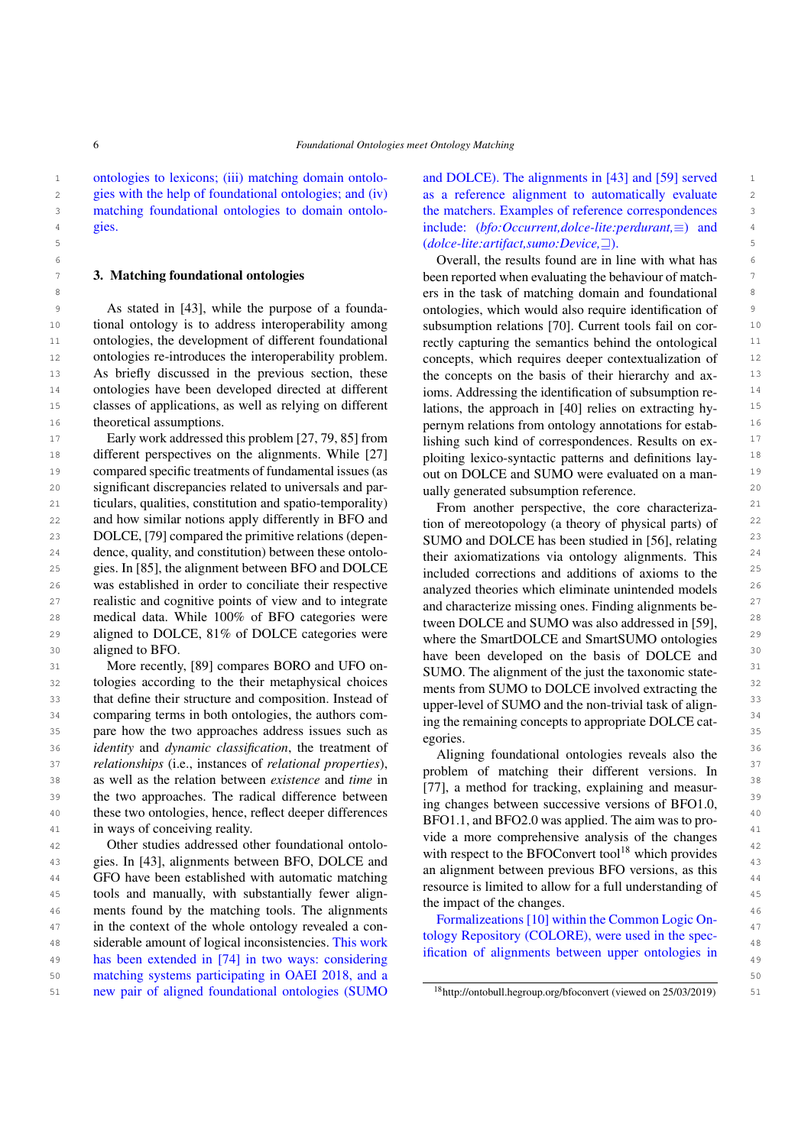1 1 ontologies to lexicons; (iii) matching domain ontolomatching foundational ontologies to domain ontologies.

### <span id="page-5-0"></span>3. Matching foundational ontologies

<sup>9</sup> As stated in [43], while the purpose of a founda- ontologies, which would also require identification of <sup>9</sup> 10 10 subsumption relations [\[70\]](#page-15-19). Current tools fail on cor-<sup>11</sup> ontologies, the development of different foundational rectly capturing the semantics behind the ontological <sup>11</sup> <sup>12</sup> ontologies re-introduces the interoperability problem. concepts, which requires deeper contextualization of <sup>12</sup> 13 As briefly discussed in the previous section, these the concepts on the basis of their hierarchy and ax-<sup>14</sup> ontologies have been developed directed at different ioms. Addressing the identification of subsumption re-<sup>15</sup> classes of applications, as well as relying on different lations, the approach in [40] relies on extracting hy-As stated in [\[43\]](#page-15-16), while the purpose of a foundational ontology is to address interoperability among theoretical assumptions.

<sup>17</sup> Early work addressed this problem [\[27,](#page-14-6) [79,](#page-16-4) [85\]](#page-16-5) from lishing such kind of correspondences. Results on ex-<sup>18</sup> different perspectives on the alignments. While [\[27\]](#page-14-6) ploiting lexico-syntactic patterns and definitions lay-<sup>19</sup> compared specific treatments of fundamental issues (as  $\frac{19}{100}$  COLCE and SUMO were evaluated on a manu-20 20 significant discrepancies related to universals and par-21 21 ticulars, qualities, constitution and spatio-temporality) 22 and how similar notions apply differently in BFO and tion of mereotopology (a theory of physical parts) of <sup>22</sup> 23 DOLCE, [\[79\]](#page-16-4) compared the primitive relations (depen-<br>
SUMO and DOLCE has been studied in [56] relating 23  $^{24}$  dence, quality, and constitution) between these ontolo-<br>their axiomatizations via ontology alignments. This  $^{24}$ 25 gies. In [\[85\]](#page-16-5), the alignment between BFO and DOLCE included corrections and additions of axioms to the 25 26 was established in order to conciliate their respective analyzed theories which eliminate unintended models 26 27 realistic and cognitive points of view and to integrate and characterize missing ones Finding alignments be-<sup>28</sup> 28 medical data. While 100% of BFO categories were 28 tween DOLCE and SUMO was also addressed in [59] <sup>29</sup> aligned to DOLCE, 81% of DOLCE categories were where the SmartDOLCE and SmartSUMO optologies <sup>29</sup> aligned to BFO.

31 More recently, [\[89\]](#page-16-6) compares BORO and UFO on-<br>SIMO The alignment of the just the taxonomic state. 32 32 tologies according to the their metaphysical choices that define their structure and composition. Instead of  $\frac{1}{2}$  in the layer layer layer and the non-trivial task of align  $\frac{33}{2}$ <sup>34</sup> comparing terms in both ontologies, the authors com-<br><sup>34</sup> in the remaining concents to appropriate DOI CE cat  $\frac{35}{200}$  pare how the two approaches address issues such as  $\frac{35}{200}$  and  $\frac{35}{200}$ 36 36 *identity* and *dynamic classification*, the treatment of 37 37 *relationships* (i.e., instances of *relational properties*), 38 38 as well as the relation between *existence* and *time* in  $\frac{39}{2}$  the two approaches. The radical difference between  $\frac{17}{2}$ ,  $\frac{1}{2}$  and  $\frac{1}{2}$  and  $\frac{1}{2}$  and  $\frac{1}{2}$  and  $\frac{1}{2}$  and  $\frac{1}{2}$  and  $\frac{1}{2}$  and  $\frac{1}{2}$  and  $\frac{1}{2}$  and  $\frac{1}{2}$  and  $\frac{1}{2$ 40 these two ontologies, hence, reflect deeper differences  $\frac{1000 \text{ N}}{1000 \text{ N}} \times 1000 \text{ N} \times 1000 \text{ N} \times 1000 \text{ N} \times 1000 \text{ N} \times 1000 \text{ N} \times 1000 \text{ N} \times 1000 \text{ N} \times 1000 \text{ N} \times 1000 \text{ N} \times 1000 \text{ N} \times 1000 \text{ N} \times 1000 \$ 41 in ways of conceiving reality.

43 gies. In [\[43\]](#page-15-16), alignments between BFO, DOLCE and which we all provided to the BI OCUMENT DIO unclined as this 44 GFO have been established with automatic matching and any processes in limited to plan for the dental in set of the set of the set of the set of the set of the set of the set of the set of the set of the set of the set  $\frac{45}{45}$  tools and manually, with substantially fewer align-<br> $\frac{45}{45}$  to substantially the substantial to the substantial to the substantial to the substantial of the substantial of the substantial of the substantia <sup>46</sup> ments found by the matching tools. The alignments the impact of the changes. The state of the changes of the state of the changes of the changes of the changes of the changes of the changes of the changes of the chang 47 in the context of the whole ontology revealed a con-<br>47 48 siderable amount of logical inconsistencies. This work the consistencies of the specific consistencies of the specific consistencies of the specific set of the specific set of the specific set of the specific set of the 49 49 has been extended in [\[74\]](#page-15-17) in two ways: considering 50 50 matching systems participating in OAEI 2018, and a 51 new pair of aligned foundational ontologies (SUMO <sup>18</sup>http://ontobull.hegroup.org/bfoconvert (viewed on 25/03/2019) 51

2 gies with the help of foundational ontologies; and (iv) as a reference alignment to automatically evaluate 2 3 matching foundational ontologies to domain ontolo-<br>the matchers. Examples of reference correspondences 4 4 include: (*bfo:Occurrent,dolce-lite:perdurant,*≡) and 5 5 (*dolce-lite:artifact,sumo:Device,*w). and DOLCE). The alignments in [\[43\]](#page-15-16) and [\[59\]](#page-15-18) served as a reference alignment to automatically evaluate

6 6 Overall, the results found are in line with what has **3. Matching foundational ontologies** been reported when evaluating the behaviour of match-8 8 ers in the task of matching domain and foundational <sup>16</sup> theoretical assumptions. The pernym relations from ontology annotations for estabrectly capturing the semantics behind the ontological concepts, which requires deeper contextualization of the concepts on the basis of their hierarchy and axioms. Addressing the identification of subsumption relations, the approach in [\[40\]](#page-14-20) relies on extracting hylishing such kind of correspondences. Results on exploiting lexico-syntactic patterns and definitions layout on DOLCE and SUMO were evaluated on a manually generated subsumption reference.

<sup>30</sup> aligned to BFO.<br> **have been developed on the basis of DOLCE** and <sup>30</sup> From another perspective, the core characterization of mereotopology (a theory of physical parts) of SUMO and DOLCE has been studied in [\[56\]](#page-15-20), relating their axiomatizations via ontology alignments. This included corrections and additions of axioms to the analyzed theories which eliminate unintended models and characterize missing ones. Finding alignments between DOLCE and SUMO was also addressed in [\[59\]](#page-15-18), where the SmartDOLCE and SmartSUMO ontologies SUMO. The alignment of the just the taxonomic statements from SUMO to DOLCE involved extracting the upper-level of SUMO and the non-trivial task of aligning the remaining concepts to appropriate DOLCE categories.

42 Other studies addressed other foundational ontolo-<br>42<br>and a second to the DEOC was to all a special and the base of the second to the product of the special and the special and the special and the special and the specia Aligning foundational ontologies reveals also the problem of matching their different versions. In [\[77\]](#page-15-21), a method for tracking, explaining and measuring changes between successive versions of BFO1.0, BFO1.1, and BFO2.0 was applied. The aim was to provide a more comprehensive analysis of the changes with respect to the BFOConvert tool<sup>[18](#page-5-1)</sup> which provides an alignment between previous BFO versions, as this resource is limited to allow for a full understanding of the impact of the changes.

> Formalizeations [\[10\]](#page-14-21) within the Common Logic Ontology Repository (COLORE), were used in the specification of alignments between upper ontologies in

<span id="page-5-1"></span><sup>18</sup><http://ontobull.hegroup.org/bfoconvert> (viewed on 25/03/2019)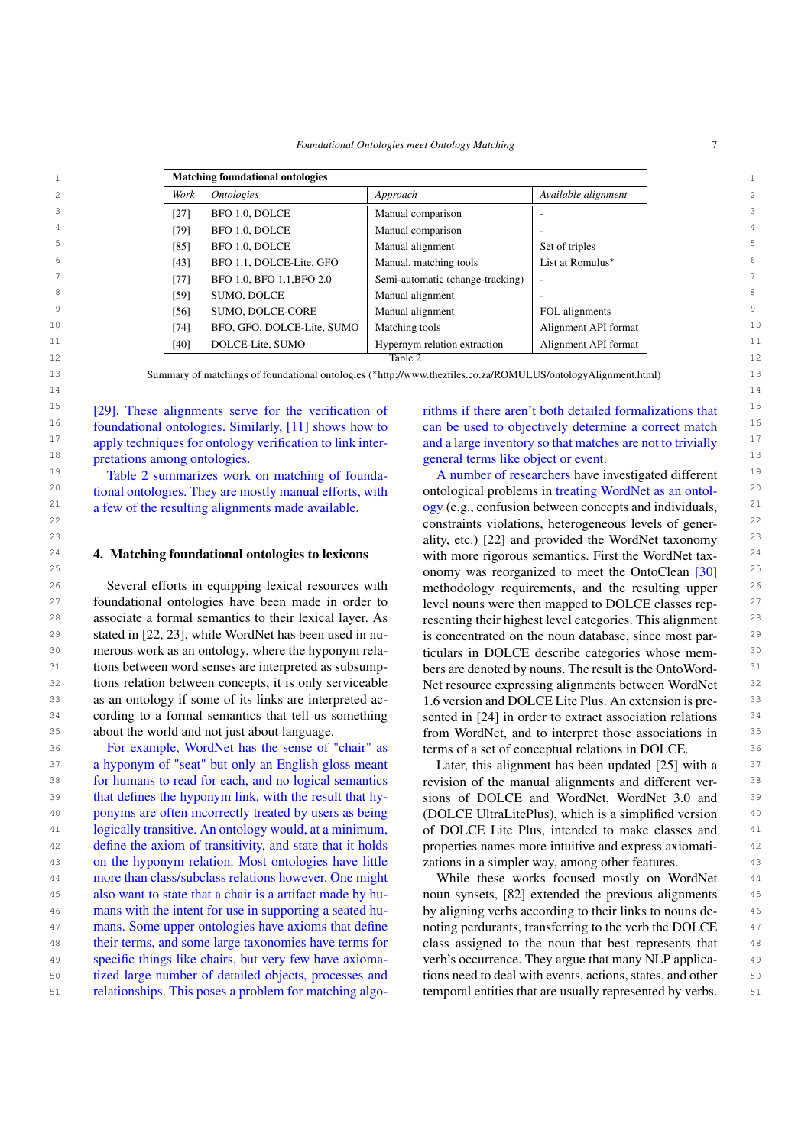*Foundational Ontologies meet Ontology Matching* 7

<span id="page-6-0"></span>

|                | <b>Matching foundational ontologies</b> |                            |                                  |                      |             |
|----------------|-----------------------------------------|----------------------------|----------------------------------|----------------------|-------------|
| $\mathfrak{D}$ | Work                                    | <i><b>Ontologies</b></i>   | Approach                         | Available alignment  | 2.          |
| 3              | $[27]$                                  | BFO 1.0, DOLCE             | Manual comparison                |                      | 3           |
| 4              | [79]                                    | BFO 1.0, DOLCE             | Manual comparison                |                      | 4           |
| 5              | [85]                                    | BFO 1.0, DOLCE             | Manual alignment                 | Set of triples       | 5.          |
| 6              | $[43]$                                  | BFO 1.1, DOLCE-Lite, GFO   | Manual, matching tools           | List at Romulus*     | 6           |
|                | $[77]$                                  | BFO 1.0, BFO 1.1, BFO 2.0  | Semi-automatic (change-tracking) |                      | $7^{\circ}$ |
| 8              | [59]                                    | SUMO, DOLCE                | Manual alignment                 |                      | 8           |
| 9              | [56]                                    | SUMO, DOLCE-CORE           | Manual alignment                 | FOL alignments       | 9           |
| 10             | $[74]$                                  | BFO, GFO, DOLCE-Lite, SUMO | Matching tools                   | Alignment API format | 10          |
| 11             | [40]                                    | DOLCE-Lite, SUMO           | Hypernym relation extraction     | Alignment API format | 11          |
| 12             |                                         |                            | Table 2                          |                      | 12          |

13 13 Summary of matchings of foundational ontologies (∗http://www.thezfiles.co.za/ROMULUS/ontologyAlignment.html) 14 14

<sup>15</sup> [29]. These alignments serve for the verification of  $\cdot$  rithms if there aren't both detailed formalizations that  $\cdot$ <sup>15</sup> <sup>16</sup> foundational ontologies. Similarly, [\[11\]](#page-14-23) shows how to can be used to objectively determine a correct match  $16$ <sup>17</sup> apply techniques for ontology verification to link inter- and a large inventory so that matches are not to trivially  $17$ <sup>18</sup> 18 pretations among ontologies. 18 and 18 general terms like object or event. [\[29\]](#page-14-22). These alignments serve for the verification of pretations among ontologies.

a few of the resulting alignments made available.

<sup>26</sup> Several efforts in equipping lexical resources with methodology requirements, and the resulting upper <sup>26</sup>  $27$  foundational ontologies have been made in order to level nouns were then mapped to DOLCE classes rep-28 associate a formal semantics to their lexical layer. As resenting their highest level categories. This alignment <sup>28</sup> <sup>29</sup> stated in [\[22,](#page-14-24) [23\]](#page-14-7), while WordNet has been used in nu-<br>is concentrated on the noun database, since most par-<sup>30</sup> merous work as an ontology, where the hyponym rela-<br><sup>30</sup> ticulars in DOLCE describe categories whose mem-<sup>31</sup> tions between word senses are interpreted as subsump-<br>bers are denoted by nouns. The result is the OntoWord-<br><sup>31</sup> <sup>32</sup> tions relation between concepts, it is only serviceable Net resource expressing alignments between WordNet <sup>32</sup> 33 as an ontology if some of its links are interpreted ac-<br>1.6 version and DOLCE Lite Plus. An extension is pre-<br>33 <sup>34</sup> cording to a formal semantics that tell us something sented in [24] in order to extract association relations <sup>34</sup> about the world and not just about language.

36 36 For example, WordNet has the sense of "chair" as 37 a hyponym of "seat" but only an English gloss meant Later, this alignment has been updated [25] with a <sup>37</sup> 38 38 for humans to read for each, and no logical semantics 39 that defines the hyponym link, with the result that hy-<br>39 that defines the hyponym link, with the result that hy-<br>39 sions of DOLCE and WordNet, WordNet 3.0 and 40 ponyms are often incorrectly treated by users as being (DOLCE UltraLitePlus), which is a simplified version 40 41 41 logically transitive. An ontology would, at a minimum, 42 42 define the axiom of transitivity, and state that it holds 43 43 on the hyponym relation. Most ontologies have little <sup>44</sup> more than class/subclass relations however. One might While these works focused mostly on WordNet <sup>44</sup> 45 also want to state that a chair is a artifact made by hu- noun synsets, [\[82\]](#page-16-7) extended the previous alignments 45 46 mans with the intent for use in supporting a seated hu-<br>by aligning verbs according to their links to nouns de-<br>46 <sup>47</sup> mans. Some upper ontologies have axioms that define noting perdurants, transferring to the verb the DOLCE <sup>47</sup> 48 their terms, and some large taxonomies have terms for class assigned to the noun that best represents that 48 49 specific things like chairs, but very few have axioma- verb's occurrence. They argue that many NLP applica-50 tized large number of detailed objects, processes and tions need to deal with events, actions, states, and other 50 51 relationships. This poses a problem for matching algo-<br>temporal entities that are usually represented by verbs. 51 also want to state that a chair is a artifact made by hutheir terms, and some large taxonomies have terms for specific things like chairs, but very few have axiomarelationships. This poses a problem for matching algo-

can be used to objectively determine a correct match and a large inventory so that matches are not to trivially

<sup>19</sup> Table [2](#page-6-0) summarizes work on matching of founda-<br>
A number of researchers have investigated different  $^{20}$  tional ontologies. They are mostly manual efforts, with ontological problems in treating WordNet as an ontol- $21$  a few of the resulting alignments made available. ogy (e.g., confusion between concepts and individuals,  $21$ 22 22 constraints violations, heterogeneous levels of gener-<sup>23</sup> ality, etc.) [\[22\]](#page-14-24) and provided the WordNet taxonomy<sup>23</sup> 24 **4. Matching foundational ontologies to lexicons** with more rigorous semantics. First the WordNet tax- $25$  conomy was reorganized to meet the OntoClean  $[30]$ <sup>25</sup> <sup>35</sup> about the world and not just about language. from WordNet, and to interpret those associations in <sup>35</sup> A number of researchers have investigated different ontological problems in treating WordNet as an ontolwith more rigorous semantics. First the WordNet taxmethodology requirements, and the resulting upper level nouns were then mapped to DOLCE classes representing their highest level categories. This alignment is concentrated on the noun database, since most particulars in DOLCE describe categories whose members are denoted by nouns. The result is the OntoWord-Net resource expressing alignments between WordNet 1.6 version and DOLCE Lite Plus. An extension is presented in [\[24\]](#page-14-25) in order to extract association relations terms of a set of conceptual relations in DOLCE.

> Later, this alignment has been updated [\[25\]](#page-14-26) with a revision of the manual alignments and different versions of DOLCE and WordNet, WordNet 3.0 and (DOLCE UltraLitePlus), which is a simplified version of DOLCE Lite Plus, intended to make classes and properties names more intuitive and express axiomatizations in a simpler way, among other features.

While these works focused mostly on WordNet by aligning verbs according to their links to nouns denoting perdurants, transferring to the verb the DOLCE tions need to deal with events, actions, states, and other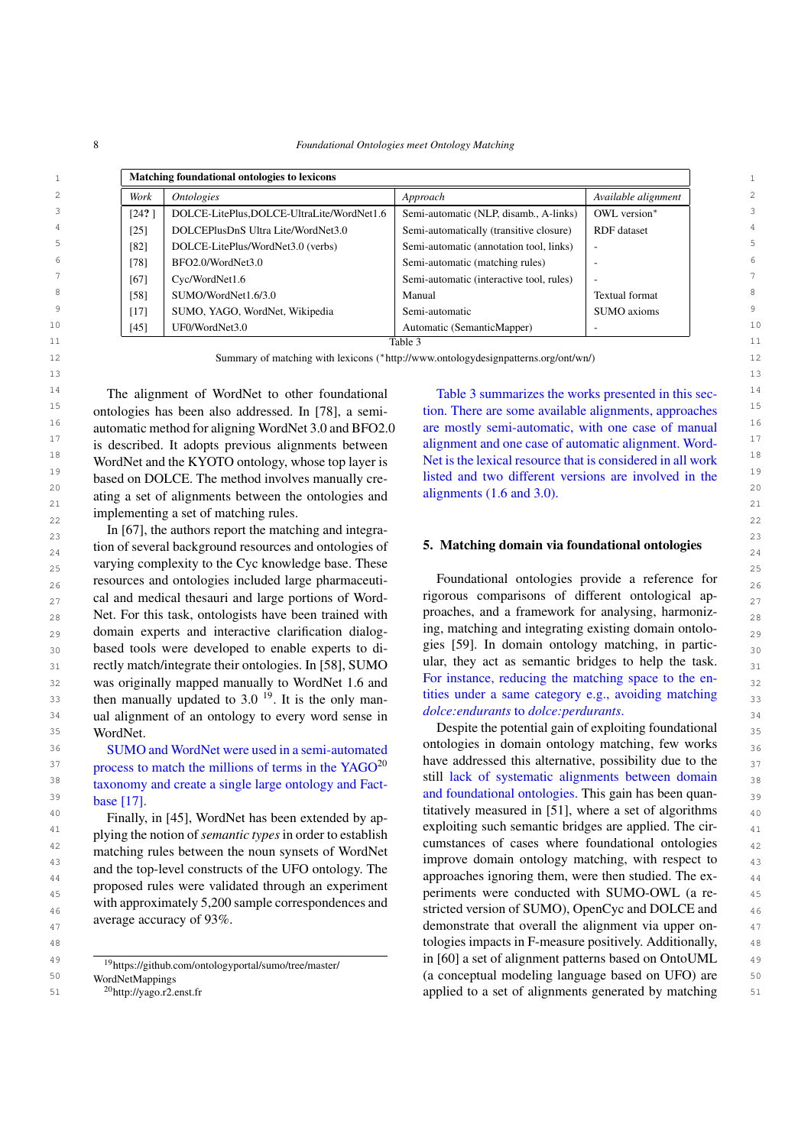8 *Foundational Ontologies meet Ontology Matching*

|               | Matching foundational ontologies to lexicons |                                           |                                          |                          |  |  |
|---------------|----------------------------------------------|-------------------------------------------|------------------------------------------|--------------------------|--|--|
| 2             | Work                                         | <i><b>Ontologies</b></i>                  | Approach                                 | Available alignment      |  |  |
| 3             | [24?]                                        | DOLCE-LitePlus,DOLCE-UltraLite/WordNet1.6 | Semi-automatic (NLP, disamb., A-links)   | OWL version*             |  |  |
| 4             | [25]                                         | DOLCEPlusDnS Ultra Lite/WordNet3.0        | Semi-automatically (transitive closure)  | <b>RDF</b> dataset       |  |  |
| 5             | [82]                                         | DOLCE-LitePlus/WordNet3.0 (verbs)         | Semi-automatic (annotation tool, links)  | ۰.                       |  |  |
| 6             | [78]                                         | BFO2.0/WordNet3.0                         | Semi-automatic (matching rules)          |                          |  |  |
|               | [67]                                         | Cyc/WordNet1.6                            | Semi-automatic (interactive tool, rules) | $\overline{\phantom{a}}$ |  |  |
|               | [58]                                         | SUMO/WordNet1.6/3.0                       | Manual                                   | <b>Textual format</b>    |  |  |
|               | $[17]$                                       | SUMO, YAGO, WordNet, Wikipedia            | Semi-automatic                           | SUMO axioms              |  |  |
|               | $[45]$                                       | UF0/WordNet3.0                            | Automatic (SemanticMapper)               |                          |  |  |
| 9<br>10<br>11 |                                              |                                           | Table 3                                  |                          |  |  |

12 12 Summary of matching with lexicons (∗http://www.ontologydesignpatterns.org/ont/wn/)

<sup>14</sup> The alignment of WordNet to other foundational Table 3 summarizes the works presented in this sec-<sup>14</sup>  $15$  ontologies has been also addressed. In [\[78\]](#page-16-8), a semi-<br>tion. There are some available alignments, approaches  $15$ <sup>16</sup> automatic method for aligning WordNet 3.0 and BFO2.0 are mostly semi-automatic, with one case of manual<sup>16</sup> <sup>17</sup> is described. It adopts previous alignments between alignment and one case of automatic alignment. Word-<sup>18</sup> WordNet and the KYOTO ontology, whose top layer is Net is the lexical resource that is considered in all work<sup>18</sup> <sup>19</sup> based on DOLCE. The method involves manually cre-<br>listed and two different versions are involved in the 20  $\frac{20}{\sqrt{2}}$  20 ating a set of alignments between the ontologies and alignments (1.6 and 3.0).  $22$  implementing a set of matching rules. automatic method for aligning WordNet 3.0 and BFO2.0 is described. It adopts previous alignments between WordNet and the KYOTO ontology, whose top layer is based on DOLCE. The method involves manually cre-

 $\ln$  [\[67\]](#page-15-22), the authors report the matching and integra-<br>23  $_{24}$  tion of several background resources and ontologies of **5. Matching domain via foundational ontologies** 25 varying complexity to the Cyc knowledge base. These  $25$  $_{26}$  resources and ontologies included large pharmaceuti-<br>Foundational ontologies provide a reference for  $_{26}$  $_{27}$  cal and medical thesauri and large portions of Word-<br> $_{27}$  rigorous comparisons of different ontological ap-28 Net. For this task, ontologists have been trained with proaches, and a framework for analysing, harmoniz- $_{29}$  domain experts and interactive clarification dialog-  $_{10}$  mg, matching and integrating existing domain ontolo-30 based tools were developed to enable experts to di-<br>30 **50** 30 and 50 and 50 and 50 and 50 and 50 and 50 and 50 and 50 and 50 and 50 and 50 and 50 and 50 and 50 and 50 and 50 and 50 and 50 and 50 and 50 and 50 and 50 an  $31$  rectly match/integrate their ontologies. In [\[58\]](#page-15-14), SUMO ular, they act as semantic bridges to help the task. 32 was originally mapped manually to WordNet 1.6 and For instance, reducing the matching space to the en- $\mu$ <sub>33</sub> then manually updated to 3.0<sup>[19](#page-7-0)</sup>. It is the only man-<br> $\mu$  thes under a same category e.g., avoiding matching  $34$  ual alignment of an ontology to every word sense in  $400C$ . *Endinging to abice: perdurants*.  $\frac{35}{25}$  WordNet. WordNet.

base [\[17\]](#page-14-27).

Finally, in [\[45\]](#page-15-23), WordNet has been extended by applying the notion of *semantic types* in order to establish matching rules between the noun synsets of WordNet and the top-level constructs of the UFO ontology. The proposed rules were validated through an experiment with approximately 5,200 sample correspondences and average accuracy of 93%.

[WordNetMappings](https://github.com/ontologyportal/sumo/tree/master/WordNetMappings)

<sup>20</sup>http://yago.r2.enst.fr

Table [3](#page-7-2) summarizes the works presented in this section. There are some available alignments, approaches alignments (1.6 and 3.0).

# <span id="page-7-3"></span>5. Matching domain via foundational ontologies

Foundational ontologies provide a reference for rigorous comparisons of different ontological approaches, and a framework for analysing, harmonizing, matching and integrating existing domain ontologies [\[59\]](#page-15-18). In domain ontology matching, in particular, they act as semantic bridges to help the task. For instance, reducing the matching space to the entities under a same category e.g., avoiding matching *dolce:endurants* to *dolce:perdurants*.

36 **SUMO** and WordNet were used in a semi-automated buildings in domain ontology matering, lew works 36  $37$  process to match the millions of terms in the YAGO<sup>[20](#page-7-1)</sup> have addressed this atternative, possibility due to the <sup>38</sup> taxonomy and create a single large ontology and Fact-<br>and fact-distinct large large ontology and Fact-distinct large large large large large large large large large 39 39 and foundational ontologies. This gain has been quan- $\frac{10}{40}$   $\frac{100}{40}$   $\frac{100}{40}$   $\frac{100}{40}$   $\frac{100}{40}$   $\frac{100}{40}$   $\frac{100}{40}$   $\frac{100}{40}$   $\frac{100}{40}$   $\frac{100}{40}$   $\frac{100}{40}$   $\frac{100}{40}$   $\frac{100}{40}$   $\frac{100}{40}$   $\frac{100}{40}$   $\frac{100}{40}$   $\frac{100}{40}$  <sup>41</sup> the the state of semantic bridges are applied. The cir-<br><sup>41</sup> always the political semantic bridges are applied. The cir-42 42 cumstances of cases where foundational ontologies 43 43 improve domain ontology matching, with respect to <sup>44</sup> and the op-rever constructs of the oriental contours of the ex-<br>approaches ignoring them, were then studied. The ex-<br><sup>44</sup> 45 45 periments were conducted with SUMO-OWL (a re-<sup>46</sup> will approximately 3,200 sample correspondences and stricted version of SUMO), OpenCyc and DOLCE and <sup>46</sup> <sup>47</sup> average accuracy of 95%. 48 tologies impacts in F-measure positively. Additionally,  $\frac{48}{100}$ <sup>49</sup>  $\frac{19 \text{ litres}}{19 \text{ litres}}$   $\frac{19 \text{ litres}}{19 \text{time}}$   $\frac{19 \text{time}}{19 \text{time}}$   $\frac{19 \text{time}}{19 \text{time}}$   $\frac{19 \text{time}}{19 \text{time}}$   $\frac{19 \text{time}}{19 \text{time}}$   $\frac{19 \text{time}}{19 \text{time}}$   $\frac{19 \text{time}}{19 \text{time}}$   $\frac{19 \text{time}}{19 \text{time}}$   $\frac{19 \text{time}}{19 \text{time}}$   $\frac{19 \$ 50 50 (a conceptual modeling language based on UFO) are 51 <sup>20</sup>http://yago.r2.enst.fr **but applied to a set of alignments generated by matching** 51 ontologies in domain ontology matching, few works have addressed this alternative, possibility due to the still lack of systematic alignments between domain

<span id="page-7-2"></span>

<span id="page-7-1"></span><span id="page-7-0"></span><sup>19</sup>[https://github.com/ontologyportal/sumo/tree/master/](https://github.com/ontologyportal/sumo/tree/master/WordNetMappings)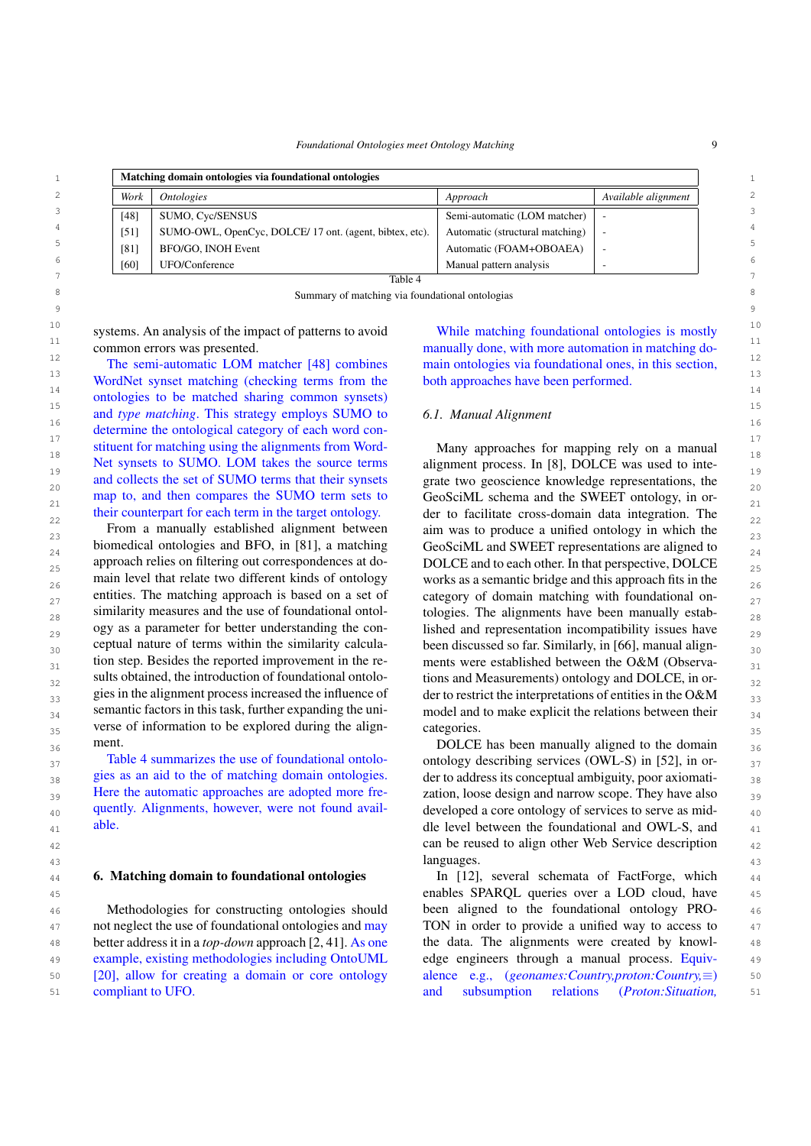*Foundational Ontologies meet Ontology Matching* 9

<span id="page-8-1"></span>

|      | Matching domain ontologies via foundational ontologies |                                 |                     |  |  |
|------|--------------------------------------------------------|---------------------------------|---------------------|--|--|
| Work | <i>Ontologies</i>                                      | Approach                        | Available alignment |  |  |
| [48] | <b>SUMO, Cyc/SENSUS</b>                                | Semi-automatic (LOM matcher)    |                     |  |  |
| [51] | SUMO-OWL, OpenCyc, DOLCE/17 ont. (agent, bibtex, etc). | Automatic (structural matching) |                     |  |  |
| [81] | BFO/GO. INOH Event                                     | Automatic (FOAM+OBOAEA)         |                     |  |  |
| [60] | UFO/Conference                                         | Manual pattern analysis         |                     |  |  |
|      | Table 4                                                |                                 |                     |  |  |

Table 4

8 8 Summary of matching via foundational ontologias 9 9

<sup>11</sup> common errors was presented. The manually done, with more automation in matching docommon errors was presented.

<sup>13</sup><br>WordNet synset matching (checking terms from the both approaches have been performed.<sup>13</sup> 14 14 ontologies to be matched sharing common synsets) <sup>15</sup> and *type matching*. This strategy employs SUMO to 6.1. Manual Alignment 16 determine the ontological category of each word con-<sup>17</sup> stituent for matching using the alignments from Word-<br>
<sup>17</sup> stituent for matching using the alignments from Word-<br>
<sup>17</sup> <sup>18</sup><br>Net synsets to SUMO. LOM takes the source terms alignment process. In [8], DOLCE was used to inte-Net synsets to SUMO. LOM takes the source terms alignment process. In [\[8\]](#page-13-6), DOLCE was used to inte-20 20 grate two geoscience knowledge representations, the  $_{21}$  map to, and then compares the SUMO term sets to GeoSciML schema and the SWEET ontology, in or-The semi-automatic LOM matcher [\[48\]](#page-15-25) combines and collects the set of SUMO terms that their synsets map to, and then compares the SUMO term sets to their counterpart for each term in the target ontology.

 $23$  From a manually established alignment between aim was to produce a unified ontology in which the  $23$ biomedical ontologies and BFO, in [81], a matching GeoSciML and SWEET representations are aligned to  $_{24}$ approach relies on filtering out correspondences at do-<br>DOLCE and to each other. In that perspective, DOLCE  $_{25}$  $_{26}$  main level that relate two different kinds of ontology works as a semantic bridge and this approach fits in the  $_{26}$ entities. The matching approach is based on a set of category of domain matching with foundational on- $_{28}$  similarity measures and the use of foundational ontol-<br> $_{28}$  tologies. The alignments have been manually estab- $_{29}$  ogy as a parameter for better understanding the con-<br>lished and representation incompatibility issues have  $_{30}$  ceptual nature of terms within the similarity calcula- been discussed so far. Similarly, in [\[66\]](#page-15-26), manual align- $_{31}$  tion step. Besides the reported improvement in the re-<br> $_{31}$  ments were established between the O&M (Observa- $_{32}$  sults obtained, the introduction of foundational ontolo-<br> $_{32}$  tions and Measurements) ontology and DOLCE, in or- $33$  gies in the alignment process increased the influence of der to restrict the interpretations of entities in the O&M  $33$  $_{34}$  semantic factors in this task, further expanding the uni-<br> $_{34}$  model and to make explicit the relations between their <sup>35</sup> verse of information to be explored during the align-categories. From a manually established alignment between biomedical ontologies and BFO, in [\[81\]](#page-16-9), a matching approach relies on filtering out correspondences at domain level that relate two different kinds of ontology entities. The matching approach is based on a set of similarity measures and the use of foundational ontology as a parameter for better understanding the conceptual nature of terms within the similarity calculation step. Besides the reported improvement in the results obtained, the introduction of foundational ontologies in the alignment process increased the influence of semantic factors in this task, further expanding the uniment.

 $_{37}$  Table 4 summarizes the use of foundational ontolo-<br>ontology describing services (OWL-S) in [\[52\]](#page-15-0), in or- $38$  gies as an aid to the of matching domain ontologies.  $\frac{38}{2}$  der to address its conceptual ambiguity, poor axiomati- $39$  Here the automatic approaches are adopted more fre-<br>zation, loose design and narrow scope. They have also  $_{40}$  quently. Alignments, however, were not found avail-<br>developed a core ontology of services to serve as mid-Table [4](#page-8-1) summarizes the use of foundational ontologies as an aid to the of matching domain ontologies. Here the automatic approaches are adopted more frequently. Alignments, however, were not found available.

#### <span id="page-8-0"></span>6. Matching domain to foundational ontologies

46 Methodologies for constructing ontologies should been aligned to the foundational ontology PRO- 46 <sup>47</sup> not neglect the use of foundational ontologies and may TON in order to provide a unified way to access to <sup>47</sup> 48 better address it in a *top-down* approach [\[2,](#page-13-2) [41\]](#page-14-0). As one the data. The alignments were created by knowl-49 49 example, existing methodologies including OntoUML 50 [20], allow for creating a domain or core ontology alence e.g., (*geonames:Country,proton:Country*,≡) 50 [\[20\]](#page-14-28), allow for creating a domain or core ontology compliant to UFO.

<sup>10</sup> systems. An analysis of the impact of patterns to avoid While matching foundational ontologies is mostly  $10$ <sup>12</sup> 12 The semi-automatic LOM matcher [48] combines main ontologies via foundational ones, in this section, While matching foundational ontologies is mostly both approaches have been performed.

# *6.1. Manual Alignment*

their counterpart for each term in the target ontology.  $\qquad$  der to facilitate cross-domain data integration. The Many approaches for mapping rely on a manual categories.

 $36$  ment. The same state of the second second both  $36$  DOLCE has been manually aligned to the domain <sup>41</sup> able. **able** able a state of the state of the delevel between the foundational and OWL-S, and <sup>41</sup> 42 42 can be reused to align other Web Service description 43 43 languages.

44 **6. Matching domain to foundational ontologies** In [\[12\]](#page-14-29), several schemata of FactForge, which 44 45 45 enables SPARQL queries over a LOD cloud, have 51 51 and subsumption relations (*Proton:Situation,*been aligned to the foundational ontology PRO-TON in order to provide a unified way to access to the data. The alignments were created by knowledge engineers through a manual process. Equiv-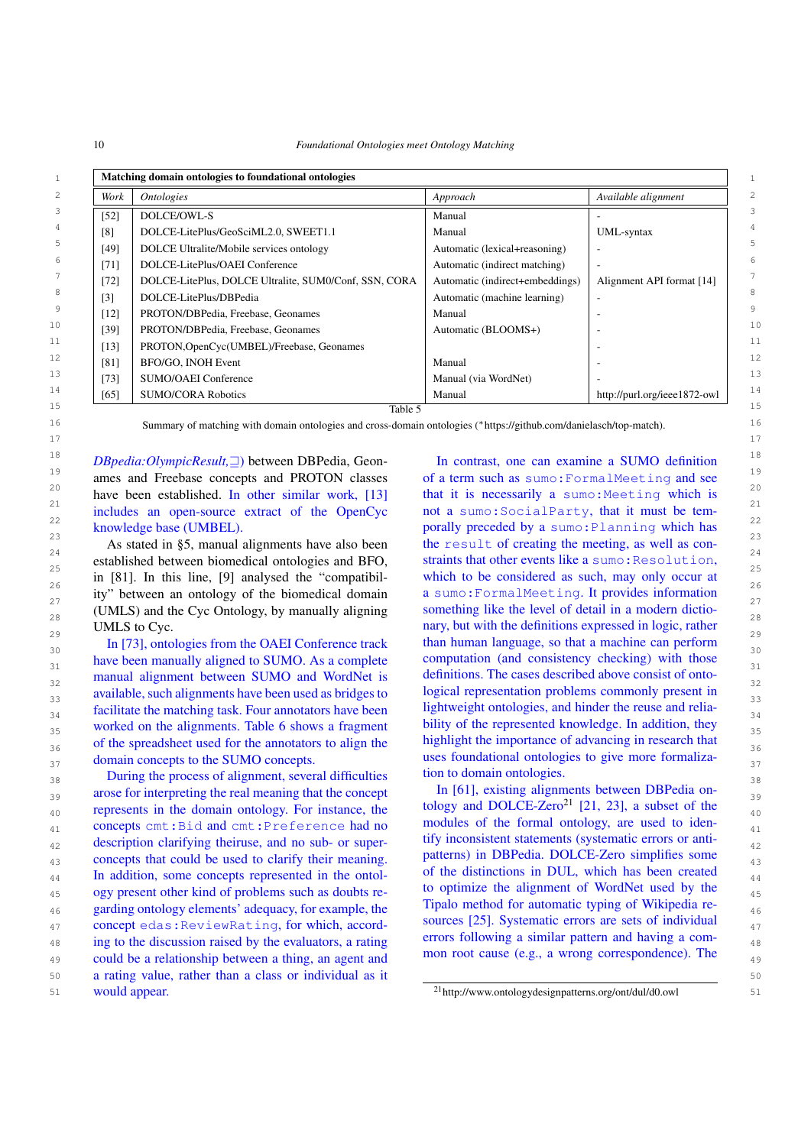<span id="page-9-1"></span>10 *Foundational Ontologies meet Ontology Matching*

|                   | Matching domain ontologies to foundational ontologies |                                 |                              |  |  |  |  |
|-------------------|-------------------------------------------------------|---------------------------------|------------------------------|--|--|--|--|
| Work              | <b>Ontologies</b>                                     | Approach                        | Available alignment          |  |  |  |  |
| $[52]$            | DOLCE/OWL-S                                           | Manual                          |                              |  |  |  |  |
| [8]               | DOLCE-LitePlus/GeoSciML2.0, SWEET1.1                  | Manual                          | UML-syntax                   |  |  |  |  |
| [49]              | DOLCE Ultralite/Mobile services ontology              | Automatic (lexical+reasoning)   |                              |  |  |  |  |
| $[71]$            | DOLCE-LitePlus/OAEI Conference                        | Automatic (indirect matching)   |                              |  |  |  |  |
| $[72]$            | DOLCE-LitePlus, DOLCE Ultralite, SUM0/Conf, SSN, CORA | Automatic (indirect+embeddings) | Alignment API format [14]    |  |  |  |  |
| $\lceil 3 \rceil$ | DOLCE-LitePlus/DBPedia                                | Automatic (machine learning)    |                              |  |  |  |  |
| $[12]$            | PROTON/DBPedia, Freebase, Geonames                    | Manual                          |                              |  |  |  |  |
| $[39]$            | PROTON/DBPedia, Freebase, Geonames                    | Automatic (BLOOMS+)             |                              |  |  |  |  |
| $[13]$            | PROTON, OpenCyc(UMBEL)/Freebase, Geonames             |                                 |                              |  |  |  |  |
| [81]              | BFO/GO, INOH Event                                    | Manual                          |                              |  |  |  |  |
| [73]              | <b>SUMO/OAEI</b> Conference                           | Manual (via WordNet)            |                              |  |  |  |  |
| [65]              | <b>SUMO/CORA Robotics</b>                             | Manual                          | http://purl.org/ieee1872-owl |  |  |  |  |

Table 5

16 16 Summary of matching with domain ontologies and cross-domain ontologies (∗https://github.com/danielasch/top-match).

<sup>18</sup> *DBpedia:OlympicResult*,  $\Box$ ) between DBPedia, Geon- In contrast, one can examine a SUMO definition<sup>18</sup> <sup>19</sup> ames and Freebase concepts and PROTON classes of a term such as sumo: FormalMeeting and see have been established. In other similar work, [\[13\]](#page-14-31) that it is necessarily a sumo: Meeting which is  $\frac{21}{21}$  includes an open-source extract of the OpenCyc not a sumo:SocialParty, that it must be temincludes an open-source extract of the OpenCyc knowledge base (UMBEL).

established between biomedical ontologies and BFO, straints that other events like a sumo: Resolution,  $\frac{25}{25}$  in [81]. In this line, [9] analysed the "compatibil-<br> $\frac{25}{25}$  which to be considered as such, may only occur at  $\frac{26}{\text{c}}$  ity" between an ontology of the biomedical domain a sumo:FormalMeeting. It provides information 27 ity" between an ontology of the biomedical domain a sumo: Formal Meeting. It provides information 27  $_{28}$  (UMLS) and the Cyc Ontology, by manually aligning something like the level of detail in a modern dictio-As stated in [§5,](#page-7-3) manual alignments have also been in [\[81\]](#page-16-9). In this line, [\[9\]](#page-14-32) analysed the "compatibil-UMLS to Cyc.

 $\frac{1}{30}$  In [\[73\]](#page-15-29), ontologies from the OAEI Conference track than human language, so that a machine can perform  $\frac{30}{30}$  $_{31}$  have been manually aligned to SUMO. As a complete computation (and consistency checking) with those  $_{31}$ manual alignment between SUMO and WordNet is definitions. The cases described above consist of onto- $33$  available, such alignments have been used as bridges to logical representation problems commonly present in  $_{34}$  facilitate the matching task. Four annotators have been lightweight ontologies, and hinder the reuse and relia- $35$  worked on the alignments. Table [6](#page-10-0) shows a fragment bility of the represented knowledge. In addition, they  $35$  $_{36}$  of the spreadsheet used for the annotators to align the highlight the importance of advancing in research that  $_{36}$ 

38 38 During the process of alignment, several difficulties tion to domain ontologies.  $39$  arose for interpreting the real meaning that the concept  $\ln$  [61], existing alignments between DBPedia on- $_{40}$  represents in the domain ontology. For instance, the tology and DOLCE-Zero<sup>21</sup> [21, 23], a subset of the <sub>41</sub> concepts cmt:Bid and cmt:Preference had no modules of the formal ontology, are used to idendescription clarifying theiruse, and no sub- or super-<br>  $\frac{H[y]}{x}$  inconsistent statements (systematic errors or anti-<br>  $\frac{42}{x}$ <sub>43</sub> concepts that could be used to clarify their meaning. Patterns) in DBPedia. DOLCE-Lero simplines some <sub>43</sub> <sup>44</sup> In addition, some concepts represented in the ontol- of the distinctions in DUL, which has been created <sup>44</sup> <sup>45</sup> ogy present other kind of problems such as doubts re-<br><sup>45</sup> to optimize the augument of wordinate used by the 46 garding ontology elements' adequacy, for example, the 11 paio method for automatic typing or wikipedia re-47 concept edas:ReviewRating, for which, accord-<br>47 concept edas:ReviewRating, for which, accord-<br>47 <sup>48</sup> ing to the discussion raised by the evaluators, a rating the errors following a similar pattern and naving a com-49 could be a relationship between a thing, an agent and the fluid fluid could be a relationship between a thing, an agent and 50 50 a rating value, rather than a class or individual as it 51 would appear. The same state of the state of the state of  $2^{1}$ <http://www.ontologydesignpatterns.org/ont/dul/d0.owl> 51 would appear.

22<br> **knowledge base (UMBEL).** porally preceded by a sumo:Planning which has 23 As stated in §5, manual alignments have also been the result of creating the meeting, as well as con-29  $\frac{29}{22}$  In [73], ontologies from the OAEI Conference track than human language, so that a machine can perform  $\frac{29}{22}$  $37$  domain concepts to the SUMO concepts. The uses foundational ontologies to give more formaliza-In contrast, one can examine a SUMO definition of a term such as sumo:FormalMeeting and see that it is necessarily a sumo: Meeting which is straints that other events like a sumo: Resolution, something like the level of detail in a modern dictionary, but with the definitions expressed in logic, rather computation (and consistency checking) with those definitions. The cases described above consist of ontological representation problems commonly present in lightweight ontologies, and hinder the reuse and reliability of the represented knowledge. In addition, they highlight the importance of advancing in research that uses foundational ontologies to give more formalization to domain ontologies.

> In [\[61\]](#page-15-31), existing alignments between DBPedia on-tology and DOLCE-Zero<sup>[21](#page-9-0)</sup> [\[21,](#page-14-33) [23\]](#page-14-7), a subset of the modules of the formal ontology, are used to identify inconsistent statements (systematic errors or antipatterns) in DBPedia. DOLCE-Zero simplifies some of the distinctions in DUL, which has been created to optimize the alignment of WordNet used by the Tipalo method for automatic typing of Wikipedia resources [\[25\]](#page-14-26). Systematic errors are sets of individual errors following a similar pattern and having a common root cause (e.g., a wrong correspondence). The

<span id="page-9-0"></span>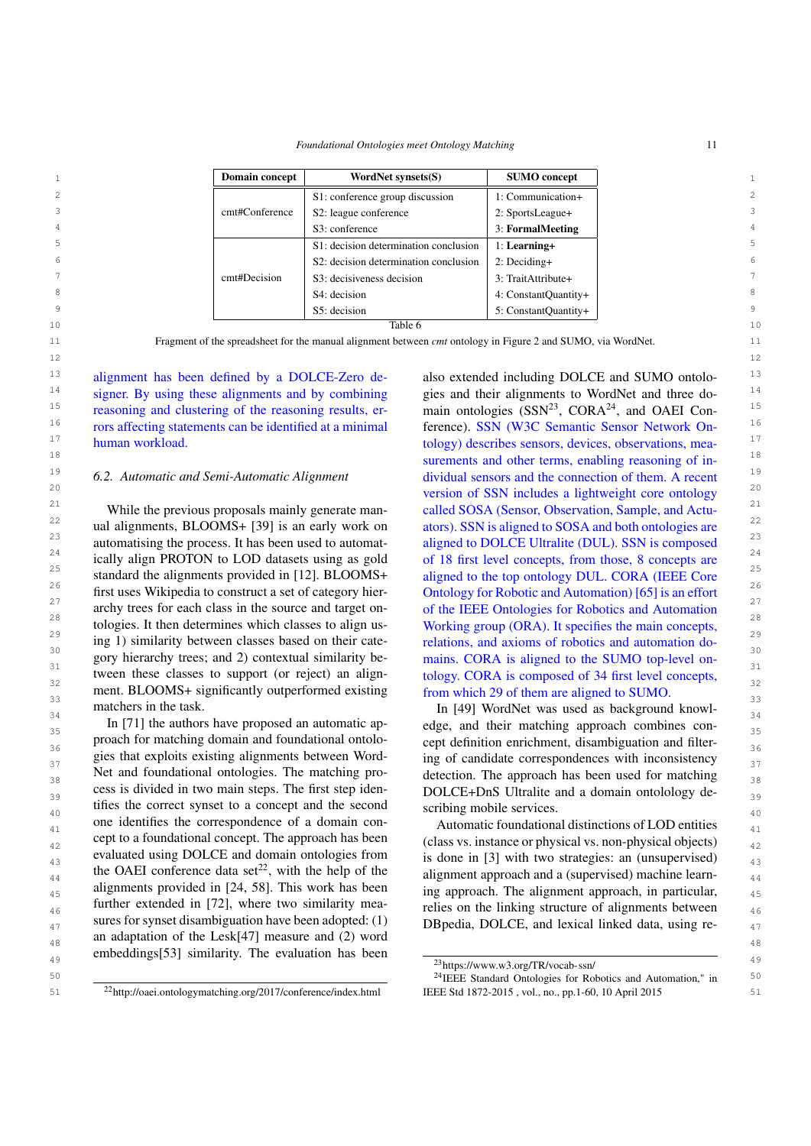*Foundational Ontologies meet Ontology Matching* 11

<span id="page-10-0"></span>

| Domain concept | WordNet synsets(S)                    | <b>SUMO</b> concept  |                |
|----------------|---------------------------------------|----------------------|----------------|
|                | S1: conference group discussion       | 1: Communication+    | $\overline{2}$ |
| cmt#Conference | S2: league conference                 | 2: SportsLeague+     | 3              |
|                | S3: conference                        | 3: FormalMeeting     | $\overline{4}$ |
|                | S1: decision determination conclusion | 1: Learning+         | 5              |
|                | S2: decision determination conclusion | $2: Deciding+$       | 6              |
| cmt#Decision   | S3: decisiveness decision             | 3: TraitAttribute+   | $\overline{7}$ |
|                | S4: decision                          | 4: ConstantQuantity+ | 8              |
|                | S5: decision                          | 5: ConstantOuantity+ | 9              |
|                | Table 6                               |                      | 10             |

11 11 Fragment of the spreadsheet for the manual alignment between *cmt* ontology in Figure [2](#page-4-3) and SUMO, via WordNet.  $12$ 

<sup>13</sup> alignment has been defined by a DOLCE-Zero de-<br>also extended including DOLCE and SUMO ontolo-<br><sup>13</sup> <sup>14</sup> signer. By using these alignments and by combining gies and their alignments to WordNet and three do-<sup>14</sup> <sup>15</sup> reasoning and clustering of the reasoning results, er-<br>main ontologies  $(SSN<sup>23</sup>, CORA<sup>24</sup>,$  $(SSN<sup>23</sup>, CORA<sup>24</sup>,$  $(SSN<sup>23</sup>, CORA<sup>24</sup>,$  $(SSN<sup>23</sup>, CORA<sup>24</sup>,$  $(SSN<sup>23</sup>, CORA<sup>24</sup>,$  and OAEI Con-<sup>16</sup> rors affecting statements can be identified at a minimal ference). SSN (W3C Semantic Sensor Network On-<sup>16</sup> <sup>17</sup> human workload. <sup>17</sup> tology) describes sensors, devices, observations, mea-<sup>17</sup> reasoning and clustering of the reasoning results, erhuman workload.

#### *6.2. Automatic and Semi-Automatic Alignment*

<sup>22</sup> ual alignments, BLOOMS+ [\[39\]](#page-14-30) is an early work on ators). SSN is aligned to SOSA and both ontologies are <sup>22</sup> <sup>23</sup> automatising the process. It has been used to automat- aligned to DOLCE Ultralite (DUL). SSN is composed<sup>23</sup> <sup>24</sup> ically align PROTON to LOD datasets using as gold of 18 first level concepts, from those, 8 concepts are  $\frac{24}{\sqrt{3}}$ <sup>25</sup> standard the alignments provided in [\[12\]](#page-14-29). BLOOMS+ aligned to the top ontology DUL. CORA (IEEE Core 26 26 first uses Wikipedia to construct a set of category hier- $27$  archy trees for each class in the source and target on-<br> $27$  of the IEEE Ontologies for Robotics and Automation archy trees for each class in the source and target on-<br>
<sup>28</sup>  $\frac{29}{22}$  ing 1) similarity between classes based on their cate-<br> $\frac{1}{2}$  relations, and axioms of robotics and automation do-<sup>30</sup> 30 solutions, and another of received and attention de support the support of the support of the support of the support of the support of the support of the support of the support of the support of the support of the  $\frac{31}{200}$  tween these classes to support (or reject) an align-<br>tology. CORA is composed of 34 first level concepts,  $\frac{32}{20}$  ment. BLOOMS+ significantly outperformed existing from which 29 of them are aligned to SUMO. ment. BLOOMS+ significantly outperformed existing from which 29 of them are aligned to SUMO. While the previous proposals mainly generate mantologies. It then determines which classes to align using 1) similarity between classes based on their catematchers in the task.

 $\ln$  [71] the authors have proposed an automatic ap-<br>35  $36$  proach for matching domain and foundational ontolocal expect definition enrichment, disambiguation and filter- $\frac{37}{137}$  gies that exploits existing alignments between Word-<br> $\frac{1}{37}$  ing of candidate correspondences with inconsistency  $38$  Net and foundational ontologies. The matching pro-<br> $38$  detection. The approach has been used for matching  $39$  cess is divided in two main steps. The first step iden-<br>DOLCE+DnS Ultralite and a domain ontolology de-<br> $39$ tifies the correct synset to a concept and the second scribing mobile services.  $_{41}$  one identifies the correspondence of a domain con-<br>Automatic foundational distinctions of LOD entities  $_{42}$  eept to a foundational concept. The approach has been (class vs. instance or physical vs. non-physical objects)  $_{42}$ evaluated using DOLCE and domain ontologies from is done in [\[3\]](#page-13-0) with two strategies: an (unsupervised)  $\frac{43}{43}$ the OAEI conference data set<sup>22</sup>, with the help of the alignment approach and a (supervised) machine learn- $_{45}$  alignments provided in [24, 58]. This work has been ing approach. The alignment approach, in particular,  $_{45}$  $_{46}$  further extended in [72], where two similarity mea-<br>relies on the linking structure of alignments between <sup>47</sup> sures for synset disambiguation have been adopted: (1) DB pedia, DOLCE, and lexical linked data, using re-an adaptation of the Lesk[\[47\]](#page-15-32) measure and (2) word  $_{49}$  embeddings[\[53\]](#page-15-33) similarity. The evaluation has been  $_{23.44 \times 10^{10} \text{ m/s}^{-2}}$  and  $_{49.44 \times 10^{10} \text{ m/s}^{-1}}$  and  $_{49.44 \times 10^{10} \text{ m/s}^{-1}}$  and  $_{49.44 \times 10^{10} \text{ m/s}^{-1}}$ proach for matching domain and foundational ontologies that exploits existing alignments between Word-Net and foundational ontologies. The matching process is divided in two main steps. The first step identifies the correct synset to a concept and the second one identifies the correspondence of a domain concept to a foundational concept. The approach has been evaluated using DOLCE and domain ontologies from the OAEI conference data set<sup>[22](#page-10-1)</sup>, with the help of the alignments provided in [\[24,](#page-14-25) [58\]](#page-15-14). This work has been further extended in [\[72\]](#page-15-6), where two similarity measures for synset disambiguation have been adopted: (1)

18 **Surements** and other terms, enabling reasoning of in-<sup>19</sup> 6.2. Automatic and Semi-Automatic Alignment dividual sensors and the connection of them. A recent <sup>19</sup> 20 20 version of SSN includes a lightweight core ontology <sup>21</sup> 2<sup>1</sup> While the previous proposals mainly generate man-called SOSA (Sensor, Observation, Sample, and Actu-<sup>21</sup> also extended including DOLCE and SUMO ontologies and their alignments to WordNet and three doference). SSN (W3C Semantic Sensor Network Onators). SSN is aligned to SOSA and both ontologies are aligned to DOLCE Ultralite (DUL). SSN is composed of 18 first level concepts, from those, 8 concepts are aligned to the top ontology DUL. CORA (IEEE Core Ontology for Robotic and Automation) [\[65\]](#page-15-30) is an effort Working group (ORA). It specifies the main concepts, mains. CORA is aligned to the SUMO top-level ontology. CORA is composed of 34 first level concepts,

 $\frac{34}{25}$  In [\[71\]](#page-15-28) the authors have proposed an automatic ap-<br> $\frac{34}{25}$  edge, and their matching approach combines con-In [\[49\]](#page-15-27) WordNet was used as background knowl-

<span id="page-10-1"></span>

<span id="page-10-3"></span><span id="page-10-2"></span><sup>23</sup><https://www.w3.org/TR/vocab-ssn/>

<sup>50</sup> **19 Solution** 24 IEEE Standard Ontologies for Robotics and Automation," in <sup>50</sup> <sup>24</sup> IEEE Standard Ontologies for Robotics and Automation," in 51 51 <sup>22</sup><http://oaei.ontologymatching.org/2017/conference/index.html> IEEE Std 1872-2015 , vol., no., pp.1-60, 10 April 2015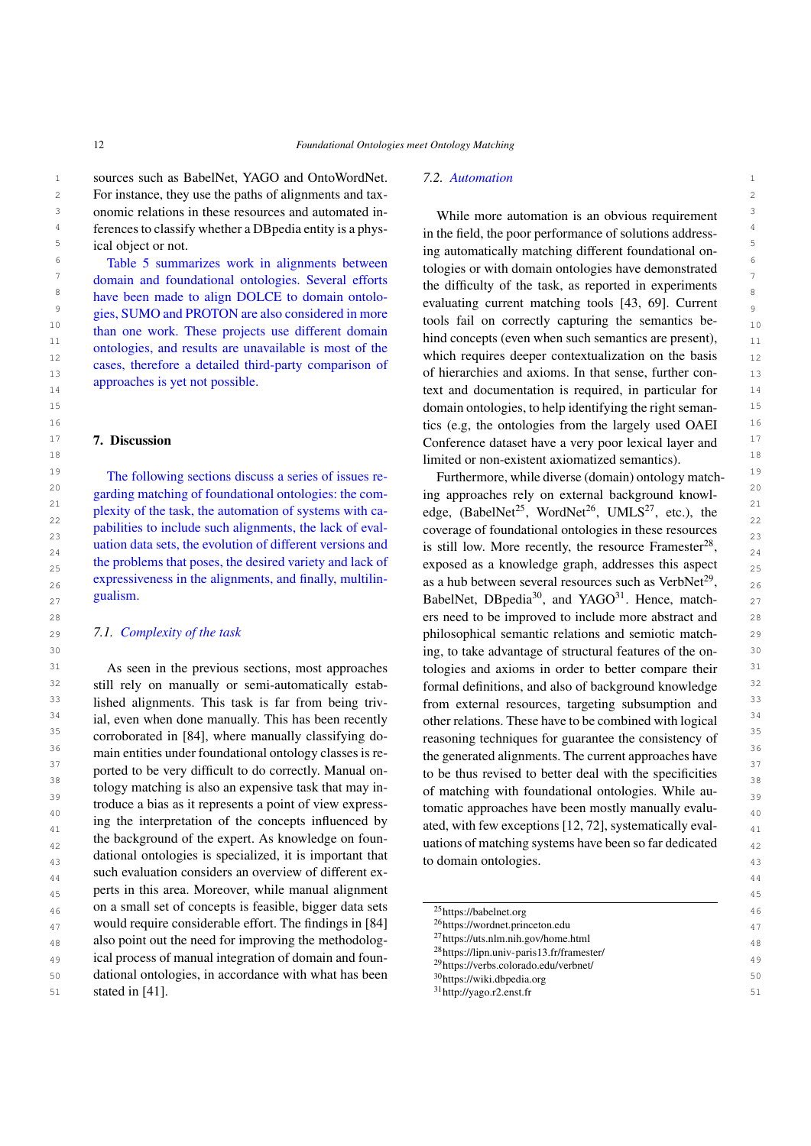1 sources such as BabelNet, YAGO and OntoWordNet. 7.2. Automation 1 2 2 For instance, they use the paths of alignments and tax-<sup>3</sup> onomic relations in these resources and automated in-<br>While more automation is an obvious requirement <sup>4</sup> ferences to classify whether a DB pedia entity is a phys-<br>in the field, the poor performance of solutions addressical object or not.

than one work. These projects use different domain ontologies, and results are unavailable is most of the cases, therefore a detailed third-party comparison of approaches is yet not possible.

# <span id="page-11-0"></span>7. Discussion

The following sections discuss a series of issues replexity of the task, the automation of systems with cauation data sets, the evolution of different versions and the problems that poses, the desired variety and lack of expressiveness in the alignments, and finally, multilingualism.

# *7.1. Complexity of the task*

31 As seen in the previous sections, most approaches tologies and axioms in order to better compare their <sup>31</sup> <sup>32</sup> still rely on manually or semi-automatically estab-<br>formal definitions, and also of background knowledge <sup>32</sup> <sup>33</sup> lished alignments. This task is far from being triv-<br>from external resources, targeting subsumption and <sup>33</sup>  $34$  ial, even when done manually. This has been recently other relations. These have to be combined with logical  $34$ <sup>35</sup> corroborated in [\[84\]](#page-16-10), where manually classifying do-<br>reasoning techniques for guarantee the consistency of <sup>36</sup> main entities under foundational ontology classes is re-<br>the generated alignments. The current approaches have <sup>37</sup> 37 ported to be very difficult to do correctly. Manual on-<br>to be thus revised to better deal with the specificities <sup>38</sup> 58 tology matching is also an expensive task that may in-<br>
of matching with foundational ontologies. While au- $\frac{39}{29}$  39  $\frac{39}{29}$  troduce a bias as it represents a point of view express-<br>tomatic approaches have been mostly manually evalu- $_{40}$  troduce a bias as it represents a point of view express-<br> $_{40}$  tomatic approaches have been mostly manually evalu- $_{41}$  and the interpretation of the concepts influenced by ated, with few exceptions [\[12,](#page-14-29) [72\]](#page-15-6), systematically eval- $_{42}$  line background of the expert. As knowledge on foun-<br>uations of matching systems have been so far dedicated  $_{42}$  $\frac{43}{43}$  dational ontologies is specialized, it is important that to domain ontologies. such evaluation considers an overview of different ex-45 45 perts in this area. Moreover, while manual alignment  $_{46}$  on a small set of concepts is feasible, bigger data sets  $\frac{25 \text{https://babelnet.org}}{25 \text{https://babelnet.org}}$ 47 would require considerable effort. The findings in [\[84\]](#page-16-10)  $^{26}$ https://wordnet.princeton.edu 48 also point out the need for improving the methodolog-  $^{2/h}$ ttps://uts.nlm.nih.gov/home.html 48 <sup>49</sup> ical process of manual integration of domain and foun-<br><sup>29</sup> https://www.parado.odu/web/ast/web/ast/  $50$  dational ontologies, in accordance with what has been  $\frac{30 \text{https://wikli.dbredi.org/}{\text{https://wikli.dbredi.org/}{\text{orof}}}}$ As seen in the previous sections, most approaches ing the interpretation of the concepts influenced by the background of the expert. As knowledge on foun-

#### *7.2. Automation*

<sup>5</sup> ical object or not.<br>
<sup>5</sup> ing automatically matching different foundational on-<sup>6</sup> a Table [5](#page-9-1) summarizes work in alignments between tologies or with domain ontologies have demonstrated  $7$  domain and foundational ontologies. Several efforts the difficulty of the task as reported in experiments <sup>8</sup> have been made to align DOLCE to domain ontolo-<br><sup>8</sup> evaluating current matching tools [43, 69] Current 9 9 gies, SUMO and PROTON are also considered in more  $\frac{\text{g}}{\text{g}}$  tools fail on correctly capturing the semantics behind concepts (even when such semantics are present),  $\frac{11}{11}$ 12 12 which requires deeper contextualization on the basis 13 13 of hierarchies and axioms. In that sense, further con-14 14 text and documentation is required, in particular for 15 15 domain ontologies, to help identifying the right seman-<sup>16</sup> tics (e.g, the ontologies from the largely used OAEI <sup>16</sup> <sup>17</sup> **7. Discussion 17 17 17 Conference dataset have a very poor lexical layer and <sup>17</sup>** 18 18 While more automation is an obvious requirement in the field, the poor performance of solutions addresstologies or with domain ontologies have demonstrated the difficulty of the task, as reported in experiments evaluating current matching tools [\[43,](#page-15-16) [69\]](#page-15-34). Current

<sup>19</sup> The following sections discuss a series of issues re-<br>Furthermore, while diverse (domain) ontology match-<sup>20</sup> 20 garding matching of foundational ontologies: the com-<br><sup>20</sup> ing approaches rely on external background knowl- $\frac{21}{\text{21}}$  plexity of the task, the automation of systems with ca-<br>edge, (BabelNet<sup>[25](#page-11-1)</sup>, WordNet<sup>[26](#page-11-2)</sup>, UMLS<sup>[27](#page-11-3)</sup>, etc.), the  $\frac{22}{2}$  pabilities to include such alignments, the lack of eval-<br> $\frac{22}{2}$  coverage of foundational ontologies in these resources  $23$  pabilities to include such alignments, the lack of eval-<br> $23$  coverage of foundational ontologies in these resources is still low. More recently, the resource Framester<sup>[28](#page-11-4)</sup>,  $\frac{1}{24}$ 25 the problems that poses, the desired variety and lack of exposed as a knowledge graph, addresses this aspect  $_{25}$ expressiveness in the alignments, and finally, multilin- as a hub between several resources such as VerbNet<sup>[29](#page-11-5)</sup>,  $\frac{26}{3}$  $27$  gualism.  $27$  gualism. BabelNet, DBpedia<sup>[30](#page-11-6)</sup>, and YAGO<sup>[31](#page-11-7)</sup>. Hence, match-28 28 ers need to be improved to include more abstract and 29 29 2.1. Complexity of the task the set of the semioric philosophical semantic relations and semiotic match-30 30 ing, to take advantage of structural features of the oning approaches rely on external background knowlformal definitions, and also of background knowledge from external resources, targeting subsumption and other relations. These have to be combined with logical reasoning techniques for guarantee the consistency of the generated alignments. The current approaches have to be thus revised to better deal with the specificities of matching with foundational ontologies. While auto domain ontologies.

<span id="page-11-7"></span><span id="page-11-6"></span><span id="page-11-5"></span><span id="page-11-4"></span><span id="page-11-3"></span><span id="page-11-2"></span><span id="page-11-1"></span>

| 46 | on a small set of concepts is feasible, bigger data sets | <sup>25</sup> https://babelnet.org                                                                         | 46             |
|----|----------------------------------------------------------|------------------------------------------------------------------------------------------------------------|----------------|
| 47 | would require considerable effort. The findings in [84]  | $^{26}$ https://wordnet.princeton.edu                                                                      | 47             |
| 48 | also point out the need for improving the methodolog-    | $^{27}$ https://uts.nlm.nih.gov/home.html                                                                  | 48             |
| 49 | ical process of manual integration of domain and foun-   | <sup>28</sup> https://lipn.univ-paris13.fr/framester/<br><sup>29</sup> https://verbs.colorado.edu/verbnet/ | 4 <sup>c</sup> |
| 50 | dational ontologies, in accordance with what has been    | <sup>30</sup> https://wiki.dbpedia.org                                                                     | 50             |
| 51 | stated in $[41]$ .                                       | $31$ http://yago.r2.enst.fr                                                                                | 51             |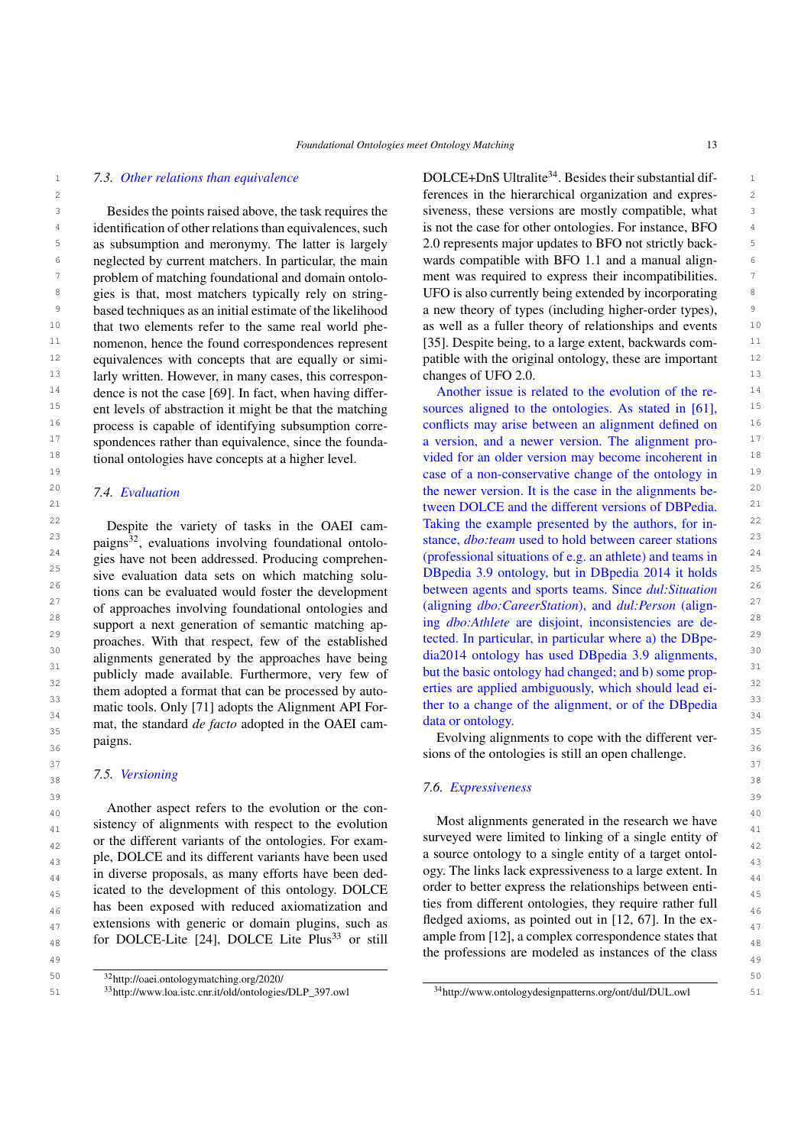#### *7.3. Other relations than equivalence*

3 3 Besides the points raised above, the task requires the siveness, these versions are mostly compatible, what 3 <sup>4</sup> identification of other relations than equivalences, such is not the case for other ontologies. For instance, BFO <sup>5</sup> as subsumption and meronymy. The latter is largely 2.0 represents major updates to BFO not strictly back-<sup>6</sup> neglected by current matchers. In particular, the main wards compatible with BFO 1.1 and a manual align-<sup>7</sup> problem of matching foundational and domain ontolo- ment was required to express their incompatibilities. <sup>8</sup> gies is that, most matchers typically rely on string-<br>UFO is also currently being extended by incorporating <sup>8</sup> <sup>9</sup> based techniques as an initial estimate of the likelihood a new theory of types (including higher-order types), <sup>10</sup> that two elements refer to the same real world phe- as well as a fuller theory of relationships and events <sup>10</sup> <sup>11</sup> nomenon, hence the found correspondences represent [35]. Despite being, to a large extent, backwards com- $12$  equivalences with concepts that are equally or simi-<br>patible with the original ontology, these are important  $12$ <sup>13</sup> 13 1arly written. However, in many cases, this correspon-<br><sup>13</sup> <sup>14</sup> dence is not the case [\[69\]](#page-15-34). In fact, when having differ-<br>Another issue is related to the evolution of the re-<br><sup>14</sup> <sup>15</sup> ent levels of abstraction it might be that the matching sources aligned to the ontologies. As stated in [\[61\]](#page-15-31), <sup>15</sup> <sup>16</sup> process is capable of identifying subsumption corre- conflicts may arise between an alignment defined on <sup>16</sup> <sup>17</sup> spondences rather than equivalence, since the founda- a version, and a newer version. The alignment pro-<sup>18</sup> tional ontologies have concepts at a higher level. vided for an older version may become incoherent in <sup>18</sup> Besides the points raised above, the task requires the gies is that, most matchers typically rely on stringthat two elements refer to the same real world pheequivalences with concepts that are equally or simient levels of abstraction it might be that the matching process is capable of identifying subsumption correspondences rather than equivalence, since the foundational ontologies have concepts at a higher level.

# *7.4. Evaluation*

<sup>23</sup> paigns<sup>32</sup>, evaluations involving foundational ontolo-<br><sup>23</sup> stance, *dbo:team* used to hold between career stations 24 24 (professional situations of e.g. an athlete) and teams in <sup>25</sup> sive evaluation data sets on which matching solu-<br>DBpedia 3.9 ontology, but in DBpedia 2014 it holds <sup>25</sup> <sup>26</sup> tions can be evaluated would foster the development between agents and sports teams. Since *dul:Situation*<sup>26</sup> <sup>27</sup> of approaches involving foundational ontologies and (aligning *dbo:CareerStation*), and *dul:Person* (align-<sup>27</sup> <sup>28</sup> support a next generation of semantic matching ap-<br><sup>28</sup> ing *dbo:Athlete* are disjoint, inconsistencies are de- $\frac{29}{2}$  proaches. With that respect, few of the established tected. In particular, in particular where a) the DBpe-<sup>30</sup> alignments generated by the approaches have being dia2014 ontology has used DBpedia 3.9 alignments,<sup>30</sup> <sup>31</sup> but the basic ontology had changed; and b) some prop-<br>but the basic ontology had changed; and b) some prop-<sup>32</sup> them adopted a format that can be processed by auto-<br><sup>32</sup> <sup>33</sup> 33 matic tools. Only [71] adopts the Alignment API For-<br><sup>33</sup> matic tools. Only [\[71\]](#page-15-28) adopts the Alignment API For-<br> $\frac{34}{34}$  matic tools. Only [71] adopts the Alignment API For-<br>detection orthology <sup>35</sup><br>paigns. Byolving alignments to cope with the different ver-<br>alignments to cope with the different ver-Despite the variety of tasks in the OAEI campaigns $^{32}$  $^{32}$  $^{32}$ , evaluations involving foundational ontologies have not been addressed. Producing comprehensive evaluation data sets on which matching solutions can be evaluated would foster the development of approaches involving foundational ontologies and support a next generation of semantic matching approaches. With that respect, few of the established alignments generated by the approaches have being publicly made available. Furthermore, very few of them adopted a format that can be processed by automat, the standard *de facto* adopted in the OAEI campaigns.

#### $\frac{38}{36}$  38  $\frac{38}{36}$  38 *7.5. Versioning*

40 Another aspect refers to the evolution or the con-<br>40 <sup>41</sup> sistency of alignments with respect to the evolution Most alignments generated in the research we have  $_{42}$  or the different variants of the ontologies. For exam-<br> $_{42}$  surveyed were limited to linking of a single entity of  $_{43}$  ple, DOLCE and its different variants have been used a source ontology to a single entity of a target ontol- $_{44}$  in diverse proposals, as many efforts have been ded- ogy. The links lack expressiveness to a large extent. In <sup>45</sup> icated to the development of this ontology. DOLCE order to better express the relationships between enti-<sup>46</sup> has been exposed with reduced axiomatization and the trom different ontologies, they require rather full extensions with generic or domain plugins, such as the degree axioms, as pointed out in [12, 67]. In the ex-<sup>48</sup> for DOLCE-Lite [\[24\]](#page-14-25), DOLCE Lite Plus<sup>[33](#page-12-1)</sup> or still ample from [12], a complex correspondence states that

1 1 1 1.3. Other relations than equivalence **1** 1 **DOLCE+DnS** Ultralite<sup>[34](#page-12-2)</sup>. Besides their substantial dif-2 2 ferences in the hierarchical organization and expresis not the case for other ontologies. For instance, BFO 2.0 represents major updates to BFO not strictly backwards compatible with BFO 1.1 and a manual alignment was required to express their incompatibilities. a new theory of types (including higher-order types), [\[35\]](#page-14-13). Despite being, to a large extent, backwards comchanges of UFO 2.0.

 19 case of a non-conservative change of the ontology in 20 the newer version. It is the case in the alignments be- 21 tween DOLCE and the different versions of DBPedia. Despite the variety of tasks in the OAEI cam-<br>Taking the example presented by the authors, for in-Another issue is related to the evolution of the redata or ontology.

 $\frac{36}{36}$   $\frac{1}{26}$   $\frac{36}{36}$   $\frac{36}{36}$  $37$   $37$ 

#### $39$  39 *7.6. Expressiveness*

the professions are modeled as instances of the class  $\frac{49}{49}$ Most alignments generated in the research we have surveyed were limited to linking of a single entity of a source ontology to a single entity of a target ontology. The links lack expressiveness to a large extent. In order to better express the relationships between entities from different ontologies, they require rather full fledged axioms, as pointed out in [\[12,](#page-14-29) [67\]](#page-15-22). In the example from [\[12\]](#page-14-29), a complex correspondence states that

<span id="page-12-0"></span><sup>50</sup>  $32$ <http://oaei.ontologymatching.org/2020/> 50

<span id="page-12-2"></span><span id="page-12-1"></span><sup>51 &</sup>lt;sup>33</sup>http://www.loa.istc.cnr.it/old/ontologies/DLP\_397.owl <sup>34</sup><http://www.ontologydesignpatterns.org/ont/dul/DUL.owl> 51 <sup>33</sup>[http://www.loa.istc.cnr.it/old/ontologies/DLP\\_397.owl](http://www.loa.istc.cnr.it/old/ontologies/DLP_397.owl)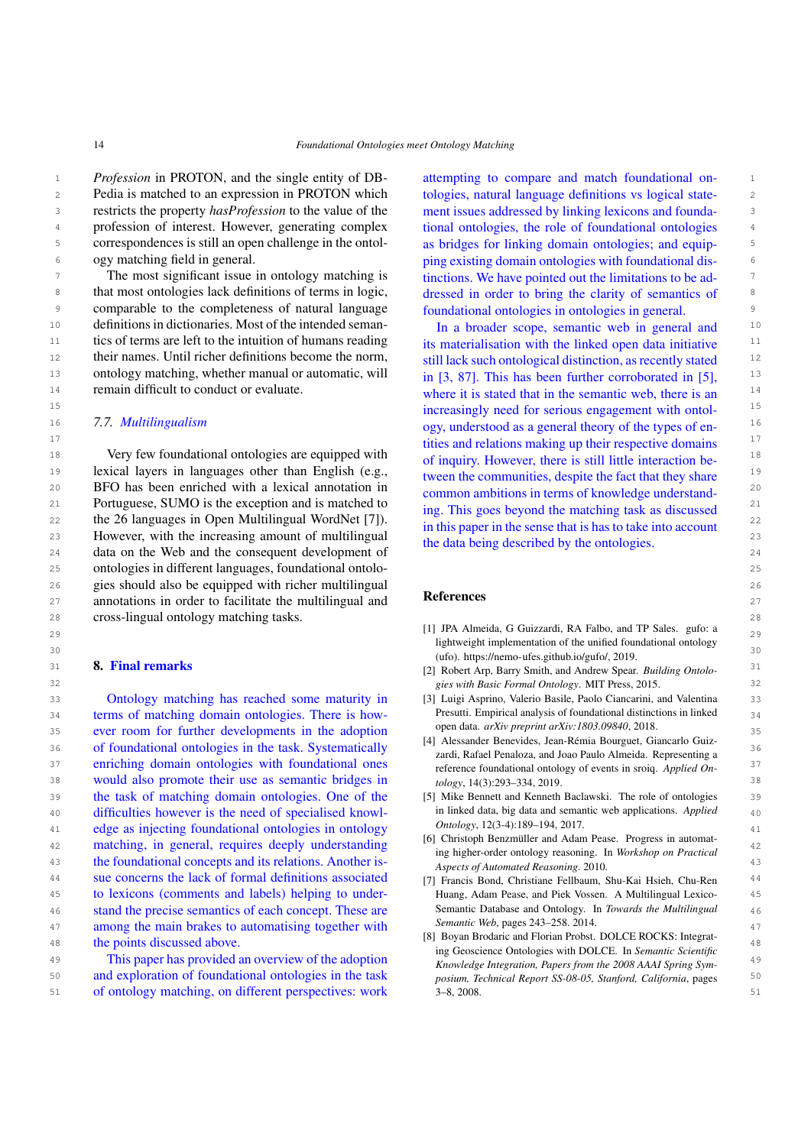<sup>1</sup> *Profession* in PROTON, and the single entity of DB- attempting to compare and match foundational on-2 2 Pedia is matched to an expression in PROTON which 3 3 restricts the property *hasProfession* to the value of the <sup>4</sup> profession of interest. However, generating complex tional ontologies, the role of foundational ontologies <sup>4</sup> 5 correspondences is still an open challenge in the ontol-<br>as bridges for linking domain ontologies; and equipogy matching field in general.

<sup>7</sup> The most significant issue in ontology matching is tinctions. We have pointed out the limitations to be ad-<sup>8</sup> that most ontologies lack definitions of terms in logic, dressed in order to bring the clarity of semantics of 9 comparable to the completeness of natural language foundational ontologies in ontologies in general. <sup>10</sup> definitions in dictionaries. Most of the intended seman-<br><sup>10</sup> In a broader scope, semantic web in general and <sup>11</sup> tics of terms are left to the intuition of humans reading its materialisation with the linked open data initiative <sup>11</sup> <sup>12</sup> their names. Until richer definitions become the norm, still lack such ontological distinction, as recently stated <sup>12</sup> 13 ontology matching, whether manual or automatic, will  $\frac{1}{2}$  in [3, 87]. This has been further corroborated in [5]  $\frac{13}{2}$ The most significant issue in ontology matching is tics of terms are left to the intuition of humans reading remain difficult to conduct or evaluate.

# *7.7. Multilingualism*

18 Very few foundational ontologies are equipped with of inquiry However, there is still little interaction be. 19 19 lexical layers in languages other than English (e.g., 20 20 BFO has been enriched with a lexical annotation in 21 Portuguese, SUMO is the exception and is matched to  $\frac{1}{2}$  in This goes beyond the matching task as discussed 22 the 26 languages in Open Multilingual WordNet [\[7\]](#page-13-7)).  $\frac{1}{22}$  in this paper in the sense that is has to take into account 22 23 However, with the increasing amount of multilingual the data being described by the ortologies 23 24 data on the Web and the consequent development of the data sense associated by the enterogies. 25 25 ontologies in different languages, foundational ontolo-26 26 gies should also be equipped with richer multilingual 27 annotations in order to facilitate the multilingual and **Kelerences** 27 28 28 cross-lingual ontology matching tasks.

## <span id="page-13-1"></span>8. Final remarks

33 **33** 33 **1** Ontology matching has reached some maturity in [3] Luigi Asprino, Valerio Basile, Paolo Ciancarini, and Valentina 33 34 **134** terms of matching domain ontologies. There is how-<br>34 **134** terms of matching domain ontologies. There is how-<br>**Presulti.** Empirical analysis of foundational distinctions in linked 35 ever room for further developments in the adoption open data. *arxiv preprint arxiv:1805.09840*, 2018. 36 36 of foundational ontologies in the task. Systematically 37 enriching domain ontologies with foundational ones<br>37 anti-property in spin Applied On-<br>37 38 would also promote their use as semantic bridges in  $\omega_{logy}$ , 14(3):293–334, 2019. 39 the task of matching domain ontologies. One of the [5] Mike Bennett and Kenneth Baclawski. The role of ontologies 39 40 difficulties however is the need of specialised knowl-<br>40  $\mu$  in linked data, big data and semantic web applications. Applied 41 edge as injecting foundational ontologies in ontology  $\frac{Ontology}{12(3-4)!}$ .  $\frac{1}{2}(11/16)$ 42 matching, in general, requires deeply understanding the bisket order patients and equal to the state of the state of the state of the state of the state of the state of the state of the state of the state of the state o 43 the foundational concepts and its relations. Another is-<br>American distance of Automated Reasoning 2010 44 sue concerns the lack of formal definitions associated [7] Francis Bond, Christiane Fellbaum, Shu-Kai Hsieh, Chu-Ren <sup>44</sup> 45 to lexicons (comments and labels) helping to under-<br>
Huang, Adam Pease, and Piek Vossen. A Multilingual Lexico-<br>
45 46 46 stand the precise semantics of each concept. These are 47 among the main brakes to automatising together with *Semantic Web*, pages 243–258. 2014. 48 the points discussed above. The points discussed above. Ontology matching has reached some maturity in

50 **and exploration of foundational ontologies in the task** posium, Technical Report SS-08-05, Stanford, California, pages <sup>50</sup> 51 51 of ontology matching, on different perspectives: work

6 6 ping existing domain ontologies with foundational disattempting to compare and match foundational ontologies, natural language definitions vs logical statement issues addressed by linking lexicons and foundational ontologies, the role of foundational ontologies as bridges for linking domain ontologies; and equipdressed in order to bring the clarity of semantics of foundational ontologies in ontologies in general.

14 14 where it is stated that in the semantic web, there is an <sup>15</sup> 15 **15 increasingly need for serious engagement with ontol-**16 16 ogy, understood as a general theory of the types of en-<sup>17</sup> tities and relations making up their respective domains<sup>17</sup> In a broader scope, semantic web in general and still lack such ontological distinction, as recently stated in [\[3,](#page-13-0) [87\]](#page-16-11). This has been further corroborated in [\[5\]](#page-13-8), of inquiry. However, there is still little interaction between the communities, despite the fact that they share common ambitions in terms of knowledge understanding. This goes beyond the matching task as discussed in this paper in the sense that is has to take into account the data being described by the ontologies.

# <span id="page-13-8"></span><span id="page-13-7"></span><span id="page-13-6"></span><span id="page-13-5"></span><span id="page-13-4"></span><span id="page-13-3"></span><span id="page-13-2"></span><span id="page-13-0"></span>References

- $_{29}$  [1] JPA Almeida, G Guizzardi, RA Falbo, and TP Sales. gufo: a  $_{29}$  $30$   $(i\text{fb})$ . [https://nemo-ufes.github.io/gufo/,](https://nemo-ufes.github.io/gufo/) 2019. lightweight implementation of the unified foundational ontology
- 31 31 [2] Robert Arp, Barry Smith, and Andrew Spear. *Building Ontolo-*32 32 *gies with Basic Formal Ontology*. MIT Press, 2015.
	- Presutti. Empirical analysis of foundational distinctions in linked open data. *arXiv preprint arXiv:1803.09840*, 2018.
	- [4] Alessander Benevides, Jean-Rémia Bourguet, Giancarlo Guizzardi, Rafael Penaloza, and Joao Paulo Almeida. Representing a reference foundational ontology of events in sroiq. *Applied Ontology*, 14(3):293–334, 2019.
	- [5] Mike Bennett and Kenneth Baclawski. The role of ontologies in linked data, big data and semantic web applications. *Applied Ontology*, 12(3-4):189–194, 2017.
	- [6] Christoph Benzmüller and Adam Pease. Progress in automating higher-order ontology reasoning. In *Workshop on Practical Aspects of Automated Reasoning*. 2010.
	- [7] Francis Bond, Christiane Fellbaum, Shu-Kai Hsieh, Chu-Ren Huang, Adam Pease, and Piek Vossen. A Multilingual Lexico-Semantic Database and Ontology. In *Towards the Multilingual Semantic Web*, pages 243–258. 2014.
- 49 This paper has provided an overview of the adoption  $\frac{m}{k}$   $\frac{m}{k}$   $\frac{m}{k}$   $\frac{m}{k}$   $\frac{m}{k}$   $\frac{m}{k}$   $\frac{m}{k}$   $\frac{m}{k}$   $\frac{m}{k}$   $\frac{m}{k}$   $\frac{m}{k}$   $\frac{m}{k}$   $\frac{m}{k}$   $\frac{m}{k}$   $\frac{m}{k}$   $\frac{m}{k}$   $\frac{m}{k$ [8] Boyan Brodaric and Florian Probst. DOLCE ROCKS: Integrating Geoscience Ontologies with DOLCE. In *Semantic Scientific Knowledge Integration, Papers from the 2008 AAAI Spring Symposium, Technical Report SS-08-05, Stanford, California*, pages 3–8, 2008.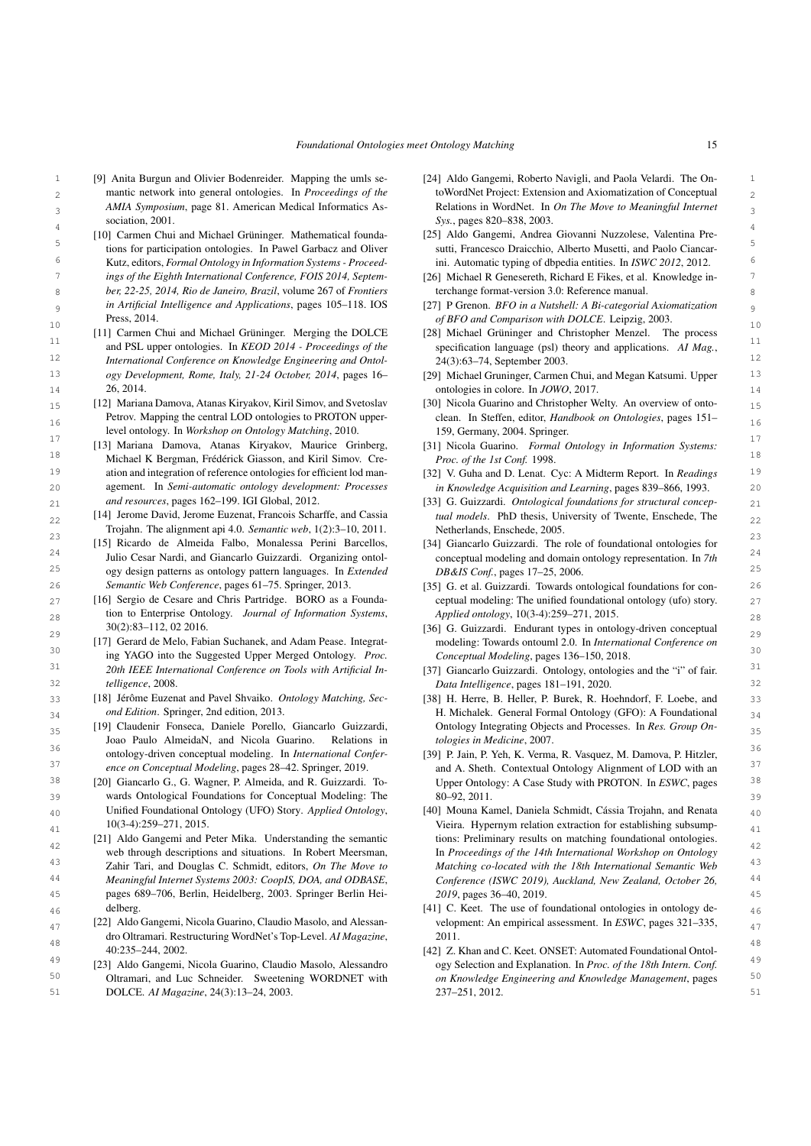*Foundational Ontologies meet Ontology Matching* 15

- <span id="page-14-32"></span>1 [9] Anita Burgun and Olivier Bodenreider. Mapping the umls se- [24] Aldo Gangemi, Roberto Navigli, and Paola Velardi. The On- 1 2 mantic network into general ontologies. In *Proceedings of the* toWordNet Project: Extension and Axiomatization of Conceptual 2 3 3 *AMIA Symposium*, page 81. American Medical Informatics Asmantic network into general ontologies. In *Proceedings of the* sociation, 2001.
- <span id="page-14-21"></span>4<br>1911 [10] Carmen Chui and Michael Grüninger. Mathematical founda- [25] Aldo Gangemi, Andrea Giovanni Nuzzolese, Valentina Pre-<sup>5</sup> 5 tions for participation ontologies. In Pawel Garbacz and Oliver sutti, Francesco Draicchio, Alberto Musetti, and Paolo Ciancar-6 6 ini. Automatic typing of dbpedia entities. In *ISWC 2012*, 2012. 7 ings of the Eighth International Conference, FOIS 2014, Septem- [26] Michael R Genesereth, Richard E Fikes, et al. Knowledge in-8 8 *ber, 22-25, 2014, Rio de Janeiro, Brazil*, volume 267 of *Frontiers* 9 9 *in Artificial Intelligence and Applications*, pages 105–118. IOS Kutz, editors, *Formal Ontology in Information Systems - Proceedings of the Eighth International Conference, FOIS 2014, Septem-*Press, 2014.
- <span id="page-14-23"></span><sup>11</sup> and PSL upper ontologies. In *KEOD 2014 - Proceedings of the* specification language (psl) theory and applications. AI Mag.,<sup>11</sup> 12 12 *International Conference on Knowledge Engineering and Ontol-*13 ogy Development, Rome, Italy, 21-24 October, 2014, pages 16- [29] Michael Gruninger, Carmen Chui, and Megan Katsumi. Upper 13 [11] Carmen Chui and Michael Grüninger. Merging the DOLCE *ogy Development, Rome, Italy, 21-24 October, 2014*, pages 16– 26, 2014.
- <span id="page-14-29"></span>15 [12] Mariana Damova, Atanas Kiryakov, Kiril Simov, and Svetoslav [30] Nicola Guarino and Christopher Welty. An overview of onto-16 **16** Petrov. Mapping the central LOD ontologies to PROTON upper-<br>16 **clean.** In Steffen, editor, *Handbook on Ontologies*, pages 151– Petrov. Mapping the central LOD ontologies to PROTON upperlevel ontology. In *Workshop on Ontology Matching*, 2010.
- <span id="page-14-31"></span>17 [13] Mariana Damova, Atanas Kiryakov, Maurice Grinberg, [31] Nicola Guarino. Formal Ontology in Information Systems: <sup>18</sup> 18 18 Michael K Bergman, Frédérick Giasson, and Kiril Simov. Cre- *Proc. of the 1st Conf.* 1998. 19 19 [32] V. Guha and D. Lenat. Cyc: A Midterm Report. In *Readings* 20 20 agement. In *Semi-automatic ontology development: Processes* ation and integration of reference ontologies for efficient lod man*and resources*, pages 162–199. IGI Global, 2012.
- 22 [14] Jerome David, Jerome Euzenat, Francois Scharffe, and Cassia tual models. PhD thesis, University of Twente, Enschede, The 22 Trojahn. The alignment api 4.0. *Semantic web*, 1(2):3–10, 2011.
- <span id="page-14-8"></span>23 [15] Ricardo de Almeida Falbo, Monalessa Perini Barcellos, [34] Giancarlo Guizzardi. The role of foundational ontologies for <sup>24</sup> <sup>24</sup> Julio Cesar Nardi, and Giancarlo Guizzardi. Organizing ontol- conceptual modeling and domain ontology representation. In 7th 25 25 ogy design patterns as ontology pattern languages. In *Extended* 26 *Semantic Web Conference*, pages 61–75. Springer, 2013. [35] G. et al. Guizzardi. Towards ontological foundations for con-<br>26 *Semantic Web Conference*, pages 61–75. Springer, 2013.
- <span id="page-14-18"></span> $_{27}$  [16] Sergio de Cesare and Chris Partridge. BORO as a Founda- ceptual modeling: The unified foundational ontology (ufo) story.  $_{27}$ 28 28 tion to Enterprise Ontology. *Journal of Information Systems*, [16] Sergio de Cesare and Chris Partridge. BORO as a Founda-30(2):83–112, 02 2016.
- <span id="page-14-27"></span><span id="page-14-2"></span>30 30 ing YAGO into the Suggested Upper Merged Ontology. *Proc.* <sup>31</sup> 20th IEEE International Conference on Tools with Artificial In-<br>[37] Giancarlo Guizzardi. Ontology, ontologies and the "i" of fair. 32 32 *Data Intelligence*, pages 181–191, 2020. [17] Gerard de Melo, Fabian Suchanek, and Adam Pease. Integrat-*20th IEEE International Conference on Tools with Artificial Intelligence*, 2008.
- <span id="page-14-11"></span><span id="page-14-3"></span>33 [18] Jérôme Euzenat and Pavel Shvaiko. *Ontology Matching, Sec*- [38] H. Herre, B. Heller, P. Burek, R. Hoehndorf, F. Loebe, and 33 [18] Jérôme Euzenat and Pavel Shvaiko. *Ontology Matching, Second Edition*. Springer, 2nd edition, 2013.
- <span id="page-14-16"></span><sup>36</sup> 36<br>ontology-driven conceptual modeling. In *International Confer*- [39] P. Jain, P. Yeh, K. Verma, R. Vasquez, M. Damova, P. Hitzler, <sup>37</sup> *ance on Conceptual Modeling*, pages 28–42. Springer, 2019. **and A. Sheth. Contextual Ontology Alignment of LOD with an** Joao Paulo AlmeidaN, and Nicola Guarino. Relations in *ence on Conceptual Modeling*, pages 28–42. Springer, 2019.
- <span id="page-14-28"></span>39 39 wards Ontological Foundations for Conceptual Modeling: The  $_{40}$  Unified Foundational Ontology (UFO) Story. Applied Ontology, [40] Mouna Kamel, Daniela Schmidt, Cássia Trojahn, and Renata  $_{40}$ Unified Foundational Ontology (UFO) Story. *Applied Ontology*, 10(3-4):259–271, 2015.
- <span id="page-14-33"></span><sup>42</sup> 42<br>
Web through descriptions and situations. In Robert Meersman, The *Proceedings of the 14th International Workshop on Ontology* 43 43 Zahir Tari, and Douglas C. Schmidt, editors, *On The Move to* [21] Aldo Gangemi and Peter Mika. Understanding the semantic web through descriptions and situations. In Robert Meersman,
- <span id="page-14-0"></span>45 45 pages 689–706, Berlin, Heidelberg, 2003. Springer Berlin Hei-46 delberg. delberg delberg delays and the use of foundational ontologies in ontology dedelberg.
- <span id="page-14-24"></span> $_{47}$  [22] Aldo Gangemi, Nicola Guarino, Claudio Masolo, and Alessan-<br> $_{47}$  velopment: An empirical assessment. In ESWC, pages 321–335, 48<br>40:235–244, 2002. (42) Z. Khan and C. Keet. ONSET: Automated Foundational Ontoldro Oltramari. Restructuring WordNet's Top-Level. *AI Magazine*, 40:235–244, 2002.
- 50 Oltramari, and Luc Schneider. Sweetening WORDNET with on Knowledge Engineering and Knowledge Management, pages <sup>50</sup>
- <span id="page-14-25"></span>[24] Aldo Gangemi, Roberto Navigli, and Paola Velardi. The On-Relations in WordNet. In *On The Move to Meaningful Internet Sys.*, pages 820–838, 2003.
- <span id="page-14-26"></span>[25] Aldo Gangemi, Andrea Giovanni Nuzzolese, Valentina Presutti, Francesco Draicchio, Alberto Musetti, and Paolo Ciancar-
- <span id="page-14-22"></span><span id="page-14-17"></span><span id="page-14-15"></span><span id="page-14-14"></span><span id="page-14-13"></span><span id="page-14-12"></span><span id="page-14-10"></span><span id="page-14-9"></span><span id="page-14-6"></span><span id="page-14-4"></span><span id="page-14-1"></span>terchange format-version 3.0: Reference manual.
- 10 10 *of BFO and Comparison with DOLCE*. Leipzig, 2003. [27] P Grenon. *BFO in a Nutshell: A Bi-categorial Axiomatization*
	- [28] Michael Grüninger and Christopher Menzel. The process specification language (psl) theory and applications. *AI Mag.*, 24(3):63–74, September 2003.
- 14 14 ontologies in colore. In *JOWO*, 2017.
	- [30] Nicola Guarino and Christopher Welty. An overview of onto-159, Germany, 2004. Springer.
	- [31] Nicola Guarino. *Formal Ontology in Information Systems: Proc. of the 1st Conf.* 1998.
	- *in Knowledge Acquisition and Learning*, pages 839–866, 1993.
- <span id="page-14-19"></span>21 21 [33] G. Guizzardi. *Ontological foundations for structural conceptual models*. PhD thesis, University of Twente, Enschede, The Netherlands, Enschede, 2005.
	- [34] Giancarlo Guizzardi. The role of foundational ontologies for conceptual modeling and domain ontology representation. In *7th DB&IS Conf.*, pages 17–25, 2006.
	- *Applied ontology*, 10(3-4):259–271, 2015.
- $29 \t 30(2):83-112,022016.$  [36] G. Guizzardi. Endurant types in ontology-driven conceptual  $29$ modeling: Towards ontouml 2.0. In *International Conference on Conceptual Modeling*, pages 136–150, 2018.
	-
- 34 *ond Edition*. Springer, 2nd edition, 2013. **1988 H. Michalek. General Formal Ontology (GFO):** A Foundational  $\frac{34}{4}$ <sup>35</sup> [19] Claudenir Fonseca, Daniele Porello, Giancarlo Guizzardi, Ontology Integrating Objects and Processes. In Res. Group On-Ontology Integrating Objects and Processes. In *Res. Group Ontologies in Medicine*, 2007.
- <span id="page-14-30"></span><sup>38</sup> [20] Giancarlo G., G. Wagner, P. Almeida, and R. Guizzardi. To-<br><sup>38</sup> Upper Ontology: A Case Study with PROTON. In ESWC, pages<sup>38</sup> [39] P. Jain, P. Yeh, K. Verma, R. Vasquez, M. Damova, P. Hitzler, Upper Ontology: A Case Study with PROTON. In *ESWC*, pages 80–92, 2011.
- <span id="page-14-20"></span> $10(3-4):259-271, 2015.$ <br>41  $10(3-4):259-271, 2015.$ 44 44 *Meaningful Internet Systems 2003: CoopIS, DOA, and ODBASE*, tions: Preliminary results on matching foundational ontologies. *Matching co-located with the 18th International Semantic Web Conference (ISWC 2019), Auckland, New Zealand, October 26, 2019*, pages 36–40, 2019.
	- velopment: An empirical assessment. In *ESWC*, pages 321–335, 2011.
- <span id="page-14-7"></span><span id="page-14-5"></span><sup>49</sup> [23] Aldo Gangemi, Nicola Guarino, Claudio Masolo, Alessandro ogy Selection and Explanation. In Proc. of the 18th Intern. Conf. 51 51 DOLCE. *AI Magazine*, 24(3):13–24, 2003. ogy Selection and Explanation. In *Proc. of the 18th Intern. Conf. on Knowledge Engineering and Knowledge Management*, pages 237–251, 2012.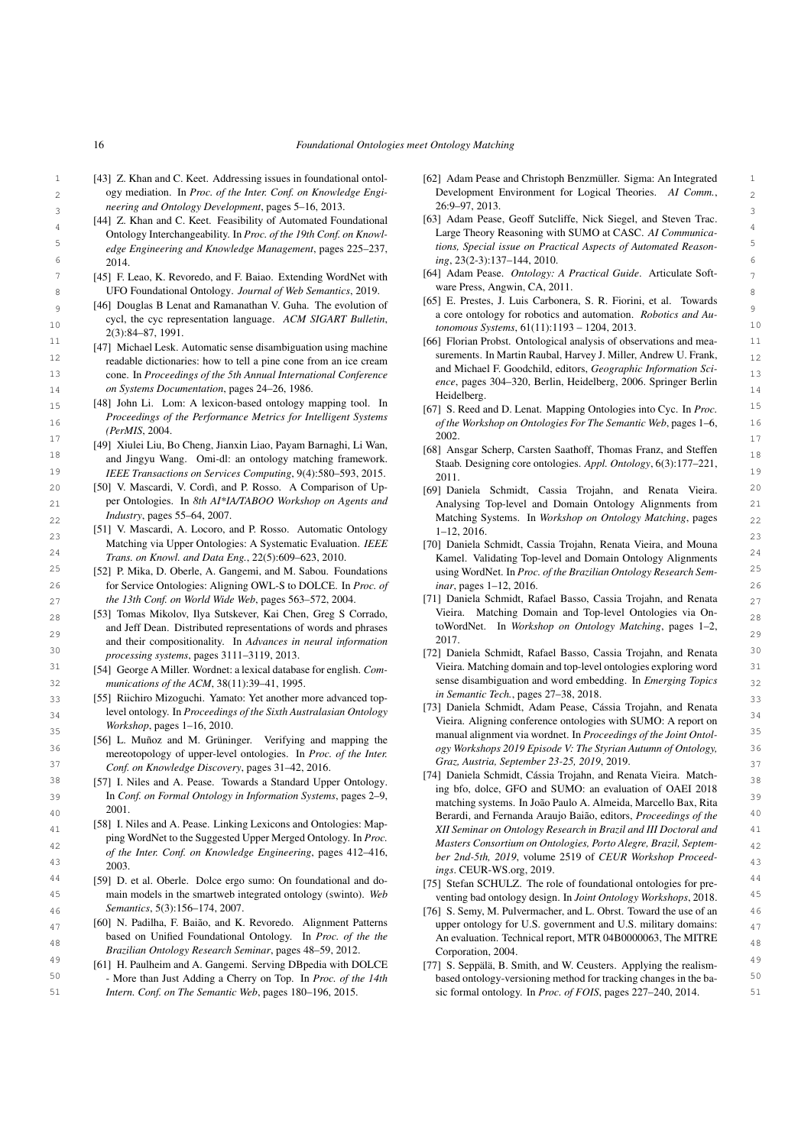- <span id="page-15-16"></span>16 *Foundational Ontologies meet Ontology Matching*
- 3 3 *neering and Ontology Development*, pages 5–16, 2013. [43] Z. Khan and C. Keet. Addressing issues in foundational ontology mediation. In *Proc. of the Inter. Conf. on Knowledge Engi-*
	- [44] Z. Khan and C. Keet. Feasibility of Automated Foundational Ontology Interchangeability. In *Proc. of the 19th Conf. on Knowledge Engineering and Knowledge Management*, pages 225–237, 2014.
- 8 8 UFO Foundational Ontology. *Journal of Web Semantics*, 2019.
- 10 10 *tonomous Systems*, 61(11):1193 1204, 2013. cycl, the cyc representation language. *ACM SIGART Bulletin*, 2(3):84–87, 1991.
- 12 readable distinguish- bow to tell a pipe cone from an ice cream surements. In Martin Raubal, Harvey J. Miller, Andrew U. Frank, 13 13 cone. In *Proceedings of the 5th Annual International Conference* 14 14 *on Systems Documentation*, pages 24–26, 1986. [47] Michael Lesk. Automatic sense disambiguation using machine readable dictionaries: how to tell a pine cone from an ice cream
- <span id="page-15-25"></span>15 15 [67] S. Reed and D. Lenat. Mapping Ontologies into Cyc. In *Proc.* 16 16 *of the Workshop on Ontologies For The Semantic Web*, pages 1–6, [48] John Li. Lom: A lexicon-based ontology mapping tool. In *Proceedings of the Performance Metrics for Intelligent Systems (PerMIS*, 2004.
- <span id="page-15-27"></span>17 17 [49] Xiulei Liu, Bo Cheng, Jianxin Liao, Payam Barnaghi, Li Wan, 18 and Jingyu Wang. Omi-dl: an ontology matching framework.<br>
Staab Designing core ontologies Appl Ontology 6(3):177–221
- <span id="page-15-2"></span>20 20 [50] V. Mascardi, V. Cordì, and P. Rosso. A Comparison of Up-21 **12 Per Ontologies.** In 8th AI\*IA/IABOO Workshop on Agents and **Analysing Top-level and Domain Ontology Alignments** from 21 per Ontologies. In *8th AI\*IA/TABOO Workshop on Agents and Industry*, pages 55–64, 2007.
- <span id="page-15-3"></span>23 23 [51] V. Mascardi, A. Locoro, and P. Rosso. Automatic Ontology Matching via Upper Ontologies: A Systematic Evaluation. *IEEE*
- <span id="page-15-0"></span>26 26 for Service Ontologies: Aligning OWL-S to DOLCE. In *Proc. of the 13th Conf. on World Wide Web*, pages 563–572, 2004.
- <span id="page-15-33"></span> $_{28}$  [53] Tomas Mikolov, Ilya Sutskever, Kai Chen, Greg S Corrado,  $\phantom{28\,}$  Vieira. Matching Domain and Top-level Ontologies via On-29 and their compositionality. In *Advances in neural information* 2017. <sup>30</sup> *processing systems*, pages 3111–3119, 2013. [72] Daniela Schmidt, Rafael Basso, Cassia Trojahn, and Renata<sup>30</sup> and Jeff Dean. Distributed representations of words and phrases *processing systems*, pages 3111–3119, 2013.
	- [54] George A Miller. Wordnet: a lexical database for english. *Com-*
- <span id="page-15-29"></span><span id="page-15-15"></span>33 [55] Riichiro Mizoguchi. Yamato: Yet another more advanced top-<br>33  $34$  level ontology. In *Proceedings of the Sixth Australasian Ontology*  $1/3$  Daniera Stummat, Again Pease, Cassai Disk SUMO, A not centure  $34$ *Workshop*, pages 1–16, 2010.
- <span id="page-15-20"></span>36 36 *ogy Workshops 2019 Episode V: The Styrian Autumn of Ontology,* 37 37 *Conf. on Knowledge Discovery*, pages 31–42, 2016. [56] L. Muñoz and M. Grüninger. Verifying and mapping the mereotopology of upper-level ontologies. In *Proc. of the Inter.*
- 39 39 In *Conf. on Formal Ontology in Information Systems*, pages 2–9, 2001.
- <span id="page-15-14"></span>41 41 *XII Seminar on Ontology Research in Brazil and III Doctoral and* 42 42 *Masters Consortium on Ontologies, Porto Alegre, Brazil, Septem-*43 43 *ber 2nd-5th, 2019*, volume 2519 of *CEUR Workshop Proceed-*[58] I. Niles and A. Pease. Linking Lexicons and Ontologies: Mapping WordNet to the Suggested Upper Merged Ontology. In *Proc. of the Inter. Conf. on Knowledge Engineering*, pages 412–416, 2003.
- <span id="page-15-18"></span><span id="page-15-1"></span>44 [59] D. et al. Oberle. Dolce ergo sumo: On foundational and do-<br>
[75] Stefan SCHULLZ. The role of foundational ontologies for pre-45 45 main models in the smartweb integrated ontology (swinto). *Web Semantics*, 5(3):156–174, 2007.
- $_{47}$  [60] N. Padilha, F. Baião, and K. Revoredo. Alignment Patterns upper ontology for U.S. government and U.S. military domains:  $_{47}$ based on Unified Foundational Ontology. In *Proc. of the the* An evaluation. Technical report, MTR 04B0000063, The MITRE [60] N. Padilha, F. Baião, and K. Revoredo. Alignment Patterns based on Unified Foundational Ontology. In *Proc. of the the Brazilian Ontology Research Seminar*, pages 48–59, 2012.
- <span id="page-15-31"></span><span id="page-15-21"></span><sup>49</sup> [61] H. Paulheim and A. Gangemi. Serving DBpedia with DOLCE [77] S. Seppälä, B. Smith, and W. Ceusters. Applying the realism-50 50 - More than Just Adding a Cherry on Top. In *Proc. of the 14th Intern. Conf. on The Semantic Web*, pages 180–196, 2015.
- 1 1 [62] Adam Pease and Christoph Benzmüller. Sigma: An Integrated 2 ogy mediation. In Proc. of the Inter. Conf. on Knowledge Engi-<br>
Development Environment for Logical Theories. AI Comm., 26:9–97, 2013.
- <span id="page-15-5"></span><sup>4</sup><br>
<sup>4</sup> 4 1 Dottology Interchangeability. In Proc. of the 19th Conf. on Knowl-<br>
Large Theory Reasoning with SUMO at CASC. AI Communica-5 5 *tions, Special issue on Practical Aspects of Automated Reason-*6 6 *ing*, 23(2-3):137–144, 2010. [63] Adam Pease, Geoff Sutcliffe, Nick Siegel, and Steven Trac.
- <span id="page-15-23"></span>7 [45] F. Leao, K. Revoredo, and F. Baiao. Extending WordNet with [64] Adam Pease. *Ontology: A Practical Guide*. Articulate Soft-[64] Adam Pease. *Ontology: A Practical Guide*. Articulate Software Press, Angwin, CA, 2011.
- <span id="page-15-9"></span>9 [46] Douglas B Lenat and Ramanathan V. Guha. The evolution of [00] E. restess, J. Lus Carolica, S. K. Florinity at the set of the set of the set of the set of the set of the set of the set of the set of the set of the s [65] E. Prestes, J. Luis Carbonera, S. R. Fiorini, et al. Towards a core ontology for robotics and automation. *Robotics and Au-*
- <span id="page-15-32"></span>11 11 [66] Florian Probst. Ontological analysis of observations and meaand Michael F. Goodchild, editors, *Geographic Information Science*, pages 304–320, Berlin, Heidelberg, 2006. Springer Berlin Heidelberg.
	- 2002.
- 19 19 *IEEE Transactions on Services Computing*, 9(4):580–593, 2015. [68] Ansgar Scherp, Carsten Saathoff, Thomas Franz, and Steffen Staab. Designing core ontologies. *Appl. Ontology*, 6(3):177–221, 2011.
- 22 *Industry*, pages 55–64, 2007. The same of the settlement of Matching Systems. In *Workshop on Ontology Matching*, pages 22 [69] Daniela Schmidt, Cassia Trojahn, and Renata Vieira. 1–12, 2016.
- 24 24 *Trans. on Knowl. and Data Eng.*, 22(5):609–623, 2010. <sup>25</sup> [52] P. Mika, D. Oberle, A. Gangemi, and M. Sabou. Foundations using WordNet. In *Proc. of the Brazilian Ontology Research Sem*-<sup>25</sup> [70] Daniela Schmidt, Cassia Trojahn, Renata Vieira, and Mouna Kamel. Validating Top-level and Domain Ontology Alignments using WordNet. In *Proc. of the Brazilian Ontology Research Seminar*, pages 1–12, 2016.
- <span id="page-15-28"></span>27 *the 13th Conf. on World Wide Web*, pages 563–572, 2004. [71] Daniela Schmidt, Rafael Basso, Cassia Trojahn, and Renata  $27$ Vieira. Matching Domain and Top-level Ontologies via OntoWordNet. In *Workshop on Ontology Matching*, pages 1–2, 2017.
- <span id="page-15-7"></span><span id="page-15-6"></span> $31$  [54] George A Miller, Wordnet: a lexical database for english, *Com*-<br>Vieira. Matching domain and top-level ontologies exploring word 32 32 *munications of the ACM*, 38(11):39–41, 1995. sense disambiguation and word embedding. In *Emerging Topics in Semantic Tech.*, pages 27–38, 2018.
- 35 35 manual alignment via wordnet. In *Proceedings of the Joint Ontol-*[73] Daniela Schmidt, Adam Pease, Cássia Trojahn, and Renata Vieira. Aligning conference ontologies with SUMO: A report on *Graz, Austria, September 23-25, 2019*, 2019.
- <span id="page-15-17"></span><span id="page-15-10"></span> $38$  [57] I. Niles and A. Pease. Towards a Standard Upper Ontology.  $1/4$  Dentise SED and SUMO an avaluation of OAEI 2019 40 40 Berardi, and Fernanda Araujo Baião, editors, *Proceedings of the* [74] Daniela Schmidt, Cássia Trojahn, and Renata Vieira. Matching bfo, dolce, GFO and SUMO: an evaluation of OAEI 2018 matching systems. In João Paulo A. Almeida, Marcello Bax, Rita *ings*. CEUR-WS.org, 2019.
	- [75] Stefan SCHULZ. The role of foundational ontologies for preventing bad ontology design. In *Joint Ontology Workshops*, 2018.
- <span id="page-15-24"></span><span id="page-15-4"></span>46 5 46 *Semantics*,  $5(3)$ : 156–174, 2007. Corporation, 2004.
- 51 51 sic formal ontology. In *Proc. of FOIS*, pages 227–240, 2014.[77] S. Seppälä, B. Smith, and W. Ceusters. Applying the realismbased ontology-versioning method for tracking changes in the ba-

<span id="page-15-34"></span><span id="page-15-30"></span><span id="page-15-26"></span><span id="page-15-22"></span><span id="page-15-19"></span><span id="page-15-13"></span><span id="page-15-12"></span><span id="page-15-11"></span><span id="page-15-8"></span>